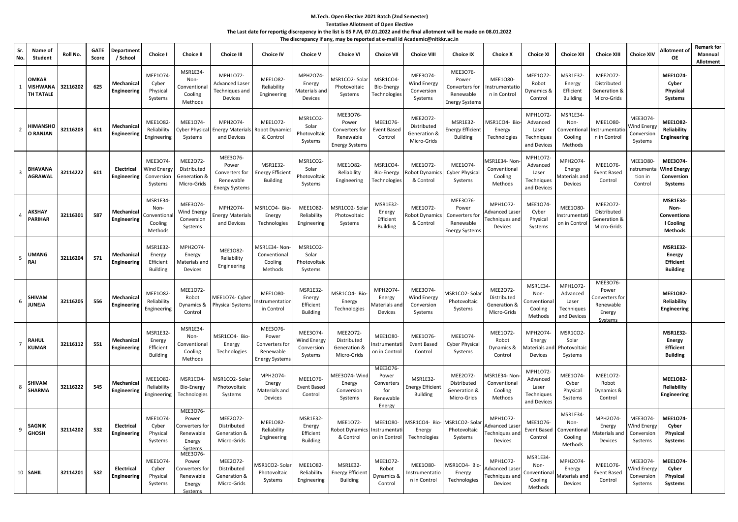## **M.Tech. Open Elective 2021 Batch (2nd Semester) Tentative Allotment of Open Elective The Last date for reportig discrepency in the list is 05 P.M, 07.01.2022 and the final allotment will be made on 08.01.2022 The discrepancy if any, may be reported at e-mail id Academic@nitkkr.ac.in**

| Sr.<br>No.     | Name of<br>Student                           | Roll No. | <b>GATE</b><br>Score | Departmen<br>/ School            | <b>Choice I</b>                                    | <b>Choice II</b>                                                      | <b>Choice III</b>                                                        | <b>Choice IV</b>                                                          | <b>Choice V</b>                                    | <b>Choice VI</b>                                                          | <b>Choice VII</b>                                             | <b>Choice VIII</b>                                     | <b>Choice IX</b>                                                          | <b>Choice X</b>                                              | <b>Choice XI</b>                                           | <b>Choice XII</b>                                          | <b>Choice XIII</b>                                                    | <b>Choice XIV</b>                                      | Allotment of<br><b>OE</b>                                               | <b>Remark for</b><br>Mannual<br>Allotment |
|----------------|----------------------------------------------|----------|----------------------|----------------------------------|----------------------------------------------------|-----------------------------------------------------------------------|--------------------------------------------------------------------------|---------------------------------------------------------------------------|----------------------------------------------------|---------------------------------------------------------------------------|---------------------------------------------------------------|--------------------------------------------------------|---------------------------------------------------------------------------|--------------------------------------------------------------|------------------------------------------------------------|------------------------------------------------------------|-----------------------------------------------------------------------|--------------------------------------------------------|-------------------------------------------------------------------------|-------------------------------------------|
| $\mathbf{1}$   | <b>OMKAR</b><br><b>VISHWANA</b><br>TH TATALE | 32116202 | 625                  | Mechanical<br><b>Engineering</b> | <b>MEE1074</b><br>Cyber<br>Physical<br>Systems     | MSR1E34-<br>Non-<br>Conventiona<br>Cooling<br>Methods                 | MPH1072-<br><b>Advanced Laser</b><br>Techniques and<br>Devices           | MEE1082-<br>Reliability<br>Engineering                                    | MPH2O74-<br>Energy<br>Materials and<br>Devices     | VISR1CO2-Sola<br>Photovoltaic<br>Systems                                  | MSR1CO4-<br>Bio-Energy<br>Technologies                        | MEE3074<br>Wind Energy<br>Conversion<br>Systems        | MEE3076-<br>Power<br>Converters for<br>Renewable<br><b>Energy Systems</b> | MEE1080-<br>nstrumentatio<br>n in Control                    | MEE1072-<br>Robot<br>Dynamics &<br>Control                 | <b>MSR1E32-</b><br>Energy<br>Efficient<br><b>Building</b>  | MEE2072-<br>Distributed<br>Generation &<br>Micro-Grids                |                                                        | <b>MEE1074-</b><br>Cyber<br>Physical<br>Systems                         |                                           |
| $\overline{2}$ | <b>HIMANSHO</b><br><b>O RANJAN</b>           | 32116203 | 611                  | Mechanical<br>Engineering        | MEE1082<br>Reliability<br>Engineering              | MEE1074-<br><b>Cyber Physical</b><br>Systems                          | MPH2O74-<br><b>Energy Materials</b><br>and Devices                       | MEE1072-<br><b>Robot Dynamic</b><br>& Control                             | MSR1CO2-<br>Solar<br>Photovoltaic<br>Systems       | MEE3076-<br>Power<br>Converters for<br>Renewable<br><b>Energy System:</b> | MEE1076-<br><b>Event Based</b><br>Control                     | MEE2072-<br>Distributed<br>Generation &<br>Micro-Grids | MSR1E32-<br>nergy Efficient<br><b>Building</b>                            | MSR1CO4- Bio<br>Energy<br>Technologies                       | MPH1072-<br>Advanced<br>Laser<br>Techniques<br>and Devices | MSR1E34-<br>Non-<br>Conventiona<br>Cooling<br>Methods      | MEE1080-<br>nstrumentati<br>n in Control                              | MEE3074<br>Wind Energ<br>Conversion<br>Systems         | <b>MEE1082-</b><br>Reliability<br><b>Engineering</b>                    |                                           |
| 3              | <b>BHAVANA</b><br><b>AGRAWAL</b>             | 32114222 | 611                  | Electrical<br>Engineering        | MEE3074-<br>Wind Energ<br>Conversion<br>Systems    | MEE2072-<br>Distributed<br>Generation &<br>Micro-Grids                | MEE3076<br>Power<br>Converters for<br>Renewable<br><b>Energy Systems</b> | <b>MSR1E32-</b><br><b>Energy Efficient</b><br><b>Building</b>             | MSR1CO2-<br>Solar<br>Photovoltaic<br>Systems       | MEE1082-<br>Reliability<br>Engineering                                    | MSR1CO4<br>Bio-Energy<br>Technologies                         | MEE1072-<br>tobot Dynamics<br>& Control                | <b>MEE1074</b><br><b>Cyber Physical</b><br>Systems                        | ASR1E34- Nor<br>Conventional<br>Cooling<br>Methods           | MPH1O72-<br>Advanced<br>Laser<br>Techniques<br>and Devices | MPH2O74-<br>Energy<br>Aaterials and<br>Devices             | MEE1076-<br><b>Event Based</b><br>Control                             | <b>MEE1080</b><br>nstrument<br>tion in<br>Control      | MEE3074-<br><b>Wind Energy</b><br>Conversion<br>Systems                 |                                           |
| $\overline{4}$ | <b>AKSHAY</b><br><b>PARIHAR</b>              | 32116301 | 587                  | Mechanica<br>Engineering         | MSR1E34<br>Non-<br>onvention<br>Cooling<br>Methods | MEE3074-<br>Wind Energy<br>Conversion<br>Systems                      | MPH2O74-<br><b>Energy Materials</b><br>and Devices                       | MSR1CO4- Bio-<br>Energy<br>Technologies                                   | MEE1082-<br>Reliability<br>Engineering             | VISR1CO2-Sola<br>Photovoltaic<br>Systems                                  | MSR1E32<br>Energy<br>Efficient<br><b>Building</b>             | MEE1072-<br>tobot Dynamics<br>& Control                | MEE3076-<br>Power<br>Converters for<br>Renewable<br>Energy System:        | MPH1072-<br>dvanced Lase<br>echniques an<br>Devices          | MEE1074-<br>Cyber<br>Physical<br>Systems                   | MEE1080-<br>Instrumenta<br>on in Contro                    | MEE2O72-<br>Distributed<br>Generation &<br>Micro-Grids                |                                                        | <b>MSR1E34-</b><br>Non-<br>Conventiona<br>I Cooling<br><b>Methods</b>   |                                           |
| 5              | <b>UMANG</b><br>RAI                          | 32116204 | 571                  | Mechanical<br><b>Engineering</b> | MSR1E32<br>Energy<br>Efficient<br><b>Building</b>  | MPH2O74<br>Energy<br>Materials and<br>Devices                         | MEE1082-<br>Reliability<br>Engineering                                   | MSR1E34- Non-<br>Conventional<br>Cooling<br>Methods                       | MSR1CO2-<br>Solar<br>Photovoltaic<br>Systems       |                                                                           |                                                               |                                                        |                                                                           |                                                              |                                                            |                                                            |                                                                       |                                                        | <b>MSR1E32-</b><br><b>Energy</b><br><b>Efficient</b><br><b>Building</b> |                                           |
| 6              | <b>SHIVAM</b><br><b>JUNEJA</b>               | 32116205 | 556                  | Mechanical<br>Engineering        | <b>MEE1082-</b><br>Reliability<br>Engineering      | MEE1072-<br>Robot<br>Dynamics &<br>Control                            | MEE1O74- Cyber<br><b>Physical Systems</b>                                | <b>MEE1080-</b><br><b>strumentation</b><br>in Control                     | MSR1E32-<br>Energy<br>Efficient<br><b>Building</b> | MSR1CO4- Bio<br>Energy<br>Technologies                                    | MPH2O74-<br>Energy<br>Aaterials an<br>Devices                 | MEE3074-<br>Wind Energy<br>Conversion<br>Systems       | ASR1CO2-Sola<br>Photovoltaic<br>Systems                                   | MEE2072-<br>Distributed<br>Generation &<br>Micro-Grids       | MSR1E34<br>Non-<br>onventiona<br>Cooling<br>Methods        | MPH1O72-<br>Advanced<br>Laser<br>Techniques<br>and Devices | MEE3076-<br>Power<br>Converters for<br>Renewable<br>Energy<br>Systems |                                                        | <b>MEE1082-</b><br>Reliability<br><b>Engineering</b>                    |                                           |
| $\overline{7}$ | <b>RAHUL</b><br><b>KUMAR</b>                 | 32116112 | 551                  | Mechanical<br>Engineering        | MSR1E32<br>Energy<br>Efficient<br><b>Building</b>  | MSR1E34-<br>Non-<br>Conventional<br>Cooling<br>Methods                | MSR1CO4- Bio-<br>Energy<br>Technologies                                  | MEE3076-<br>Power<br>Converters for<br>Renewable<br><b>Energy Systems</b> | MEE3074-<br>Wind Energy<br>Conversion<br>Systems   | MEE2072-<br>Distributed<br>Generation &<br>Micro-Grids                    | MEE1080-<br>nstrumentati<br>on in Control                     | MEE1076-<br>Event Based<br>Control                     | MEE1074-<br><b>Cyber Physical</b><br>Systems                              | MEE1072-<br>Robot<br>Dynamics &<br>Control                   | MPH2O74-<br>Energy<br>laterials an<br>Devices              | MSR1CO2-<br>Solar<br>hotovoltaic<br>Systems                |                                                                       |                                                        | <b>MSR1E32-</b><br>Energy<br><b>Efficient</b><br><b>Building</b>        |                                           |
| 8              | <b>SHIVAM</b><br><b>SHARMA</b>               | 32116222 | 545                  | Mechanica<br>Engineering         | MEE1082<br>Reliability<br>Engineering              | MSR1CO4-<br>Bio-Energy<br>Technologies                                | MSR1CO2-Solar<br>Photovoltaic<br>Systems                                 | MPH2O74-<br>Energy<br>Materials and<br>Devices                            | MEE1076-<br><b>Event Based</b><br>Control          | MEE3O74-Wind<br>Energy<br>Conversion<br>Systems                           | MEE3076-<br>Power<br>Converters<br>for<br>Renewable<br>Energy | MSR1E32-<br>Inergy Efficient<br>Building               | MEE2O72-<br>Distributed<br>Generation &<br>Micro-Grids                    | ASR1E34- Nor<br>Conventional<br>Cooling<br>Methods           | MPH1072-<br>Advanced<br>Laser<br>Techniques<br>and Devices | MEE1074-<br>Cyber<br>Physical<br>Systems                   | MEE1072-<br>Robot<br>Dynamics &<br>Control                            |                                                        | <b>MEE1082-</b><br>Reliability<br>Engineering                           |                                           |
| 9              | SAGNIK<br><b>GHOSH</b>                       | 32114202 | 532                  | Electrical<br>Engineering        | MEE1074<br>Cyber<br>Physical<br>Systems            | MEE3076-<br>Power<br>Converters for<br>Renewable<br>Energy<br>Systems | MEE2072-<br>Distributed<br>Generation &<br>Micro-Grids                   | MEE1082-<br>Reliability<br>Engineering                                    | MSR1E32-<br>Energy<br>Efficient<br>Building        | MEE1072-<br>Robot Dynamic<br>& Control                                    | MEE1080-<br>nstrumentat<br>on in Control                      | ASR1CO4- Bio-<br>Energy<br>Technologies                | <b>MSR1CO2-Sola</b><br>Photovoltaic<br>Systems                            | MPH1O72-<br>dvanced Lase<br><b>Fechniques</b> and<br>Devices | MEE1076-<br>Event Based<br>Control                         | MSR1E34-<br>Non-<br>Conventiona<br>Cooling<br>Methods      | MPH2O74-<br>Energy<br>Materials and<br>Devices                        | <b>MEE3074</b><br>Wind Energy<br>Conversion<br>Systems | <b>MEE1074-</b><br>Cyber<br>Physical<br>Systems                         |                                           |
|                | 10 SAHIL                                     | 32114201 | 532                  | Electrical<br>Engineering        | MEE1074<br>Cyber<br>Physical<br>Systems            | MEE3076-<br>Power<br>Converters for<br>Renewable<br>Energy<br>Systems | MEE2072-<br>Distributed<br>Generation &<br>Micro-Grids                   | ASR1CO2-Sola<br>Photovoltaic<br>Systems                                   | MEE1082-<br>Reliability<br>Engineering             | MSR1E32-<br><b>Energy Efficien</b><br><b>Building</b>                     | MEE1072-<br>Robot<br>Dynamics 8<br>Control                    | <b>MEE1080</b><br>nstrumentatio<br>n in Control        | <b>MSR1CO4-Bio</b><br>Energy<br>Technologies                              | MPH1O72-<br><b>Advanced Lase</b><br>Fechniques an<br>Devices | MSR1E34<br>Non-<br>Conventiona<br>Cooling<br>Methods       | MPH2O74-<br>Energy<br>Aaterials an<br>Devices              | MEE1076-<br><b>Event Based</b><br>Control                             | MEE3074<br>Wind Energy<br>Conversion<br>Systems        | MEE1074-<br>Cyber<br>Physical<br><b>Systems</b>                         |                                           |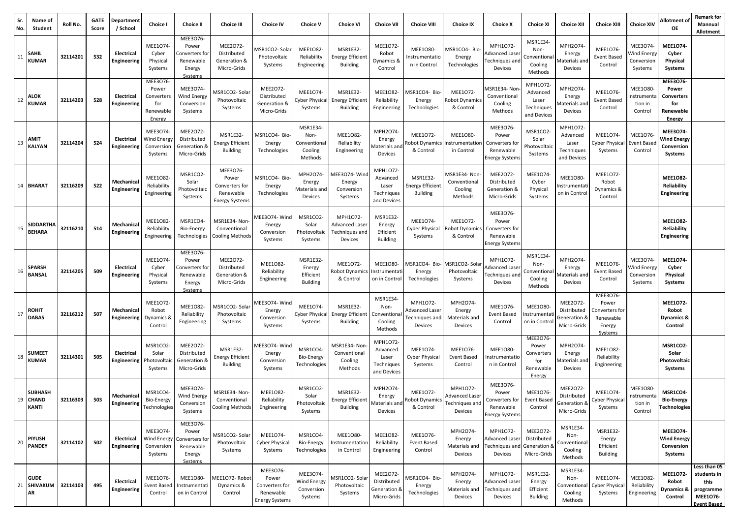| Sr.<br>No. | Name of<br>Student                        | Roll No. | <b>GATE</b><br>Score | Departmen<br>/ School            | Choice I                                                            | <b>Choice II</b>                                                      | <b>Choice III</b>                                                        | <b>Choice IV</b>                                                          | <b>Choice V</b>                                       | <b>Choice VI</b>                                       | <b>Choice VII</b>                                          | <b>Choice VIII</b>                                      | <b>Choice IX</b>                                               | <b>Choice X</b>                                                           | <b>Choice XI</b>                                             | <b>Choice XII</b>                                          | <b>Choice XIII</b>                                                          | <b>Choice XIV</b>                                       | Allotment of<br><b>OE</b>                                                   | <b>Remark for</b><br>Mannual<br><b>Allotment</b>                                   |
|------------|-------------------------------------------|----------|----------------------|----------------------------------|---------------------------------------------------------------------|-----------------------------------------------------------------------|--------------------------------------------------------------------------|---------------------------------------------------------------------------|-------------------------------------------------------|--------------------------------------------------------|------------------------------------------------------------|---------------------------------------------------------|----------------------------------------------------------------|---------------------------------------------------------------------------|--------------------------------------------------------------|------------------------------------------------------------|-----------------------------------------------------------------------------|---------------------------------------------------------|-----------------------------------------------------------------------------|------------------------------------------------------------------------------------|
| 11         | <b>SAHIL</b><br><b>KUMAR</b>              | 32114201 | 532                  | Electrical<br>Engineering        | MEE1074<br>Cyber<br>Physical<br>Systems                             | MEE3076-<br>Power<br>Converters for<br>Renewable<br>Energy<br>Systems | MEE2072-<br>Distributed<br>Generation &<br>Micro-Grids                   | MSR1CO2- Sola<br>Photovoltaic<br>Systems                                  | MEE1082<br>Reliability<br>Engineering                 | <b>MSR1E32-</b><br>Energy Efficien<br>Building         | MEE1072<br>Robot<br>Dynamics &<br>Control                  | <b>MEE1080-</b><br>nstrumentatio<br>n in Control        | MSR1CO4- Bio-<br>Energy<br>Technologies                        | MPH1O72-<br><b>Advanced Lase</b><br>Fechniques anc<br>Devices             | MSR1E34-<br>Non-<br>Conventiona<br>Cooling<br>Methods        | MPH2O74-<br>Energy<br>Materials an<br>Devices              | MEE1076-<br><b>Event Based</b><br>Control                                   | MEE3074-<br>Vind Energy<br>Conversion<br>Systems        | MEE1074-<br>Cyber<br>Physical<br>Systems                                    |                                                                                    |
| 12         | <b>ALOK</b><br><b>KUMAR</b>               | 32114203 | 528                  | Electrical<br>Engineering        | <b>MEE3076</b><br>Power<br>Converters<br>for<br>Renewable<br>Energy | MEE3074-<br>Wind Energy<br>Conversion<br>Systems                      | MSR1CO2- Solar<br>Photovoltaic<br>Systems                                | MEE2072-<br>Distributed<br>Generation &<br>Micro-Grids                    | MEE1074-<br>Cyber Physical<br>Systems                 | MSR1E32-<br><b>Energy Efficient</b><br><b>Building</b> | MEE1082<br>Reliability<br>Engineering                      | ASR1CO4- Bio-<br>Energy<br>Technologies                 | MEE1072-<br>Robot Dynamics<br>& Control                        | MSR1E34-Non<br>Conventional<br>Cooling<br>Methods                         | MPH1072<br>Advanced<br>Laser<br>Techniques<br>and Devices    | MPH2O74<br>Energy<br>Aaterials an<br>Devices               | MEE1076-<br>Event Based<br>Control                                          | MEE1080-<br>nstrumenta<br>tion in<br>Control            | <b>MEE3076-</b><br>Power<br><b>Converters</b><br>for<br>Renewable<br>Energy |                                                                                    |
| 13         | <b>AMIT</b><br><b>KALYAN</b>              | 32114204 | 524                  | Electrical<br>Engineering        | MEE3074<br>Wind Energy<br>Conversion<br>Systems                     | MEE2O72-<br>Distributed<br>Generation &<br>Micro-Grids                | MSR1E32-<br><b>Energy Efficient</b><br><b>Building</b>                   | MSR1CO4- Bio-<br>Energy<br>Technologies                                   | MSR1E34<br>Non-<br>Conventional<br>Cooling<br>Methods | MEE1082-<br>Reliability<br>Engineering                 | MPH2O74-<br>Energy<br>iaterials an<br>Devices              | MEE1072-<br>obot Dynamics<br>& Control                  | <b>MEE1080-</b><br>nstrumentation<br>in Control                | MEE3076-<br>Power<br>Converters for<br>Renewable<br><b>Energy Systems</b> | MSR1CO2<br>Solar<br>Photovoltai<br>Systems                   | MPH1072-<br>Advanced<br>Laser<br>Techniques<br>and Devices | MEE1074-<br>Cyber Physical<br>Systems                                       | MEE1076<br>Event Base<br>Control                        | MEE3074-<br><b>Wind Energy</b><br>Conversion<br>Systems                     |                                                                                    |
|            | 14 BHARAT                                 | 32116209 | 522                  | Mechanical<br>Engineering        | <b>MEE1082</b><br>Reliability<br>Engineering                        | MSR1CO2-<br>Solar<br>Photovoltaic<br>Systems                          | MEE3076<br>Power<br>Converters for<br>Renewable<br><b>Energy Systems</b> | MSR1CO4- Bio-<br>Energy<br>Technologies                                   | MPH2O74-<br>Energy<br>Materials and<br>Devices        | AEE3O74-Win<br>Energy<br>Conversion<br>Systems         | MPH1072-<br>Advanced<br>Laser<br>Techniques<br>and Devices | MSR1E32-<br><b>Energy Efficient</b><br><b>Building</b>  | MSR1E34- Non<br>Conventional<br>Cooling<br>Methods             | MEE2072-<br>Distributed<br>Generation &<br>Micro-Grids                    | MEE1074<br>Cyber<br>Physical<br>Systems                      | <b>MEE1080</b><br>nstrumentat<br>on in Contro              | MEE1072-<br>Robot<br>Dynamics &<br>Control                                  |                                                         | <b>MEE1082-</b><br>Reliability<br><b>Engineering</b>                        |                                                                                    |
| 15         | <b>SIDDARTHA</b><br><b>BEHARA</b>         | 32116210 | 514                  | Mechanical<br>Engineering        | MEE1082-<br>Reliability<br>Engineering                              | MSR1CO4-<br>Bio-Energy<br>Technologies                                | MSR1E34- Non-<br>Conventional<br><b>Cooling Methods</b>                  | MEE3O74-Wind<br>Energy<br>Conversion<br>Systems                           | MSR1CO2<br>Solar<br>Photovoltaic<br>Systems           | MPH1072-<br>Advanced Lase<br>Techniques and<br>Devices | MSR1E32<br>Energy<br>Efficient<br><b>Building</b>          | MEE1074-<br>Cyber Physical<br>Systems                   | MEE1072-<br><b>Robot Dynamics</b><br>& Control                 | MEE3076-<br>Power<br>Converters for<br>Renewable<br><b>Energy Systems</b> |                                                              |                                                            |                                                                             |                                                         | <b>MEE1082-</b><br>Reliability<br><b>Engineering</b>                        |                                                                                    |
| 16         | <b>SPARSH</b><br><b>BANSAL</b>            | 32114205 | 509                  | Electrical<br>Engineering        | MEE1074<br>Cyber<br>Physical<br>Systems                             | MEE3076-<br>Power<br>Converters fo<br>Renewable<br>Energy<br>Systems  | MEE2072-<br>Distributed<br>Generation &<br>Micro-Grids                   | MEE1082<br>Reliability<br>Engineering                                     | MSR1E32-<br>Energy<br>Efficient<br><b>Building</b>    | MEE1072-<br>Robot Dynamics<br>& Control                | <b>MEE1080</b><br>nstrumentat<br>on in Control             | ASR1CO4- Bio-<br>Energy<br>Technologies                 | <b>MSR1CO2-Sola</b><br>Photovoltaic<br>Systems                 | MPH1072-<br><b>Advanced Lase</b><br>Fechniques and<br>Devices             | MSR1E34-<br>Non-<br>Conventiona<br>Cooling<br>Methods        | MPH2O74-<br>Energy<br>Aaterials an<br>Devices              | MEE1076-<br><b>Event Based</b><br>Control                                   | MEE3074-<br><b>Nind Energy</b><br>Conversion<br>Systems | MEE1074-<br>Cyber<br>Physical<br>Systems                                    |                                                                                    |
| 17         | <b>ROHIT</b><br><b>DABAS</b>              | 32116212 | 507                  | Mechanical<br>Engineering        | MEE1072-<br>Robot<br>Dynamics 8<br>Control                          | MEE1082-<br>Reliability<br>Engineering                                | MSR1CO2-Solar<br>Photovoltaic<br>Systems                                 | AEE3O74-Wind<br>Energy<br>Conversion<br>Systems                           | MEE1074<br>Cyber Physical<br>Systems                  | MSR1E32-<br><b>Energy Efficient</b><br><b>Building</b> | MSR1E34<br>Non-<br>onventiona:<br>Cooling<br>Methods       | MPH1072-<br>Advanced Laser<br>Fechniques and<br>Devices | MPH2O74-<br>Energy<br>Materials and<br>Devices                 | MEE1076-<br><b>Event Based</b><br>Control                                 | <b>MEE1080</b><br>nstrumenta<br>on in Contro                 | MEE2O72-<br>Distributed<br>Generation 8<br>Micro-Grids     | MEE3076<br>Power<br>Converters for<br>Renewable<br>Energy<br><b>Systems</b> |                                                         | MEE1072-<br>Robot<br>Dynamics &<br>Control                                  |                                                                                    |
| 18         | <b>SUMEET</b><br><b>KUMAR</b>             | 32114301 | 505                  | Electrical<br>Engineering        | MSR1CO2<br>Solar<br>Photovolta<br>Systems                           | MEE2O72-<br>Distributed<br>Generation &<br>Micro-Grids                | <b>MSR1E32-</b><br><b>Energy Efficient</b><br><b>Building</b>            | MEE3O74-Wind<br>Energy<br>Conversion<br>Systems                           | MSR1CO4<br>Bio-Energy<br>Technologies                 | MSR1E34- Non<br>Conventional<br>Cooling<br>Methods     | MPH1072-<br>Advanced<br>Laser<br>Techniques<br>and Devices | MEE1074-<br><b>Cyber Physical</b><br>Systems            | MEE1076-<br><b>Event Based</b><br>Control                      | MEE1080-<br>nstrumentatic<br>n in Control                                 | MEE3076<br>Power<br>Converters<br>for<br>Renewable<br>Energy | MPH2O74<br>Energy<br>Aaterials an<br>Devices               | MEE1082-<br>Reliability<br>Engineering                                      |                                                         | MSR1CO2-<br>Solar<br>Photovoltaic<br>Systems                                |                                                                                    |
|            | <b>SUBHASH</b><br>19 CHAND<br>KANTI       | 32116303 | 503                  | Mechanical<br>Engineering        | MSR1CO4<br>Bio-Energy<br>Technologies                               | MEE3074-<br>Wind Energy<br>Conversion<br>Systems                      | MSR1E34- Non-<br>Conventional<br>Cooling Methods                         | MEE1082-<br>Reliability<br>Engineering                                    | MSR1CO2-<br>Solar<br>Photovoltaic<br>Systems          | MSR1E32-<br><b>Energy Efficient</b><br>Building        | MPH2O74<br>Energy<br>Materials and<br>Devices              | MEE1072-<br>Robot Dynamics<br>& Control                 | MPH1072-<br><b>Advanced Laser</b><br>Techniques and<br>Devices | MEE3076-<br>Power<br>Converters for<br>Renewable<br><b>Energy Systems</b> | MEE1076<br><b>Event Based</b><br>Control                     | MEE2072-<br>Distributed<br>Generation &<br>Micro-Grids     | MEE1074-<br><b>Cyber Physical</b><br>Systems                                | MEE1080-<br>nstrument<br>tion in<br>Control             | MSR1CO4-<br><b>Bio-Energy</b><br>Technologies                               |                                                                                    |
| 20         | <b>PIYUSH</b><br><b>PANDEY</b>            | 32114102 | 502                  | Electrical<br><b>Engineering</b> | MEE3074-<br>Wind Energy<br>Conversion<br>Systems                    | MEE3076-<br>Power<br>Converters for<br>Renewable<br>Energy<br>Systems | MSR1CO2- Solar<br>Photovoltaic<br>Systems                                | MEE1074-<br><b>Cyber Physical</b><br>Systems                              | MSR1CO4-<br>Bio-Energy<br>Technologies                | MEE1080-<br>nstrumentation<br>in Control               | <b>MEE1082</b><br>Reliability<br>Engineering               | MEE1076-<br><b>Event Based</b><br>Control               | MPH2O74-<br>Energy<br>Materials and<br>Devices                 | MPH1072-<br>Advanced Laser<br>Techniques and<br>Devices                   | MEE2O72-<br>Distributed<br>Generation &<br>Micro-Grids       | MSR1E34-<br>Non-<br>Conventiona<br>Cooling<br>Methods      | MSR1E32-<br>Energy<br>Efficient<br><b>Building</b>                          |                                                         | MEE3074-<br><b>Wind Energy</b><br>Conversion<br>Systems                     |                                                                                    |
|            | <b>GUDE</b><br>21 SHIVAKUM 32114103<br>AR |          | 495                  | Electrical<br>Engineering        | MEE1076-<br><b>Event Based</b><br>Control                           | MEE1080-<br>Instrumentati<br>on in Control                            | MEE1O72- Robot<br>Dynamics &<br>Control                                  | MEE3O76-<br>Power<br>Converters for<br>Renewable<br><b>Energy Systems</b> | MEE3074-<br>Wind Energy<br>Conversion<br>Systems      | <b>MSR1CO2-Sola</b><br>Photovoltaic<br>Systems         | MEE2072-<br>Distributed<br>Generation &<br>Micro-Grids     | ASR1CO4- Bio-<br>Energy<br>Technologies                 | MPH2O74-<br>Energy<br>Materials and<br>Devices                 | MPH1072-<br>Advanced Laser<br>Techniques and<br>Devices                   | MSR1E32-<br>Energy<br>Efficient<br>Building                  | MSR1E34-<br>Non-<br>Conventiona<br>Cooling<br>Methods      | MEE1074-<br><b>Cyber Physical</b><br>Systems                                | MEE1082-<br>Reliability<br>Engineering                  | MEE1072-<br>Robot<br>Dynamics &<br>Control                                  | Less than 05<br>students in<br>this<br>programme<br>MEE1076-<br><b>Event Based</b> |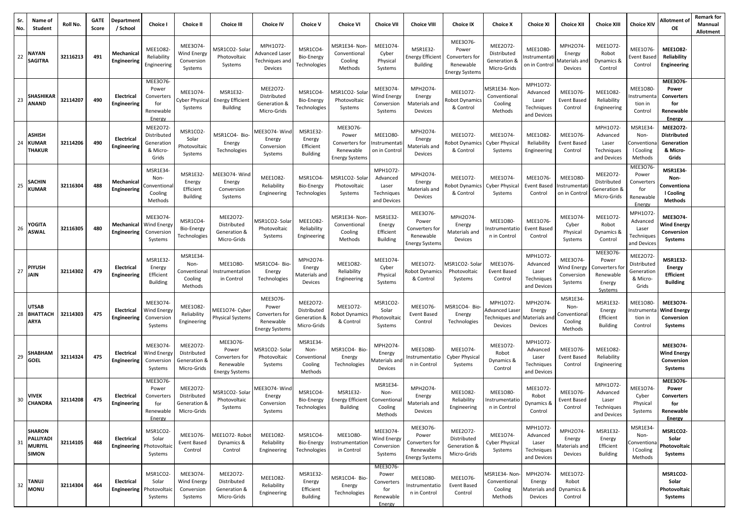| Sr.<br>No. | Name of<br>Student                                           | Roll No. | <b>GATE</b><br>Score | Department<br>/ School           | Choice I                                                      | <b>Choice II</b>                                        | <b>Choice III</b>                                                         | <b>Choice IV</b>                                                   | <b>Choice V</b>                                           | <b>Choice VI</b>                                                          | <b>Choice VII</b>                                             | <b>Choice VIII</b>                                                        | <b>Choice IX</b>                                                          | <b>Choice X</b>                                                             | <b>Choice XI</b>                                           | <b>Choice XII</b>                                     | <b>Choice XIII</b>                                                  | <b>Choice XIV</b>                                                   | Allotment of<br><b>OE</b>                                                | <b>Remark for</b><br>Mannual<br>Allotment |
|------------|--------------------------------------------------------------|----------|----------------------|----------------------------------|---------------------------------------------------------------|---------------------------------------------------------|---------------------------------------------------------------------------|--------------------------------------------------------------------|-----------------------------------------------------------|---------------------------------------------------------------------------|---------------------------------------------------------------|---------------------------------------------------------------------------|---------------------------------------------------------------------------|-----------------------------------------------------------------------------|------------------------------------------------------------|-------------------------------------------------------|---------------------------------------------------------------------|---------------------------------------------------------------------|--------------------------------------------------------------------------|-------------------------------------------|
| 22         | <b>NAYAN</b><br><b>SAGITRA</b>                               | 32116213 | 491                  | Mechanical<br>Engineering        | <b>MEE1082</b><br>Reliability<br>Engineering                  | MEE3074-<br>Wind Energy<br>Conversion<br>Systems        | MSR1CO2- Solai<br>Photovoltaic<br>Systems                                 | MPH1O72-<br>Advanced Laseı<br>Techniques and<br>Devices            | MSR1CO4<br>Bio-Energy<br>Technologies                     | MSR1E34- Non<br>Conventional<br>Cooling<br>Methods                        | MEE1074<br>Cyber<br>Physical<br>Systems                       | MSR1E32<br><b>Energy Efficient</b><br><b>Building</b>                     | MEE3076-<br>Power<br>Converters for<br>Renewable<br><b>Energy Systems</b> | MEE2O72-<br>Distributed<br>Generation &<br>Micro-Grids                      | MEE1080<br>nstrumenta<br>on in Control                     | MPH2O74-<br>Energy<br>Materials an<br>Devices         | MEE1072-<br>Robot<br>Dynamics &<br>Control                          | MEE1076-<br>vent Based<br>Control                                   | <b>MEE1082-</b><br>Reliability<br>Engineering                            |                                           |
| 23         | <b>SHASHIKAR</b><br><b>ANAND</b>                             | 32114207 | 490                  | Electrical<br>Engineering        | MEE3O76-<br>Power<br>Converters<br>for<br>Renewable<br>Energy | MEE1074<br>Cyber Physica<br>Systems                     | MSR1E32<br><b>Energy Efficient</b><br><b>Building</b>                     | MEE2O72-<br>Distributed<br>Generation &<br>Micro-Grids             | MSR1CO4-<br><b>Bio-Energy</b><br>Technologies             | VISR1CO2-Sola<br>Photovoltaic<br>Systems                                  | MEE3074<br>Nind Energy<br>Conversion<br>Systems               | MPH2O74-<br>Energy<br>Materials and<br>Devices                            | MEE1072-<br>obot Dynamic:<br>& Control                                    | <b>MSR1E34-Non</b><br>Conventional<br>Cooling<br>Methods                    | MPH1072<br>Advanced<br>Laser<br>Techniques<br>and Devices  | MEE1076-<br>Event Based<br>Control                    | MEE1082-<br>Reliability<br>Engineering                              | <b>MEE1080</b><br>nstrumenta<br>tion in<br>Control                  | MEE3076-<br>Power<br><b>Converters</b><br>for<br>Renewable<br>Energy     |                                           |
|            | <b>ASHISH</b><br>24 KUMAR<br><b>THAKUR</b>                   | 32114206 | 490                  | Electrical<br>Engineering        | MEE2072-<br>Distributed<br>Generation<br>& Micro-<br>Grids    | MSR1CO2-<br>Solar<br>Photovoltaic<br>Systems            | MSR1CO4- Bio-<br>Energy<br>Technologies                                   | AEE3O74-Wind<br>Energy<br>Conversion<br>Systems                    | <b>MSR1E32-</b><br>Energy<br>Efficient<br><b>Building</b> | MEE3076-<br>Power<br>Converters for<br>Renewable<br><b>Energy System:</b> | MEE1080-<br>Instrumentati<br>on in Control                    | MPH2O74-<br>Energy<br>Materials and<br>Devices                            | MEE1072-<br>obot Dynamics<br>& Control                                    | MEE1074<br><b>Cyber Physical</b><br>Systems                                 | <b>MEE1082</b><br>Reliability<br>Engineering               | MEE1076-<br>Event Based<br>Control                    | MPH1O72-<br>Advanced<br>Laser<br>Techniques<br>and Devices          | MSR1E34<br>Non-<br>Convention<br>I Cooling<br>Methods               | <b>MEE2072-</b><br><b>Distributed</b><br>Generation<br>& Micro-<br>Grids |                                           |
| 25         | <b>SACHIN</b><br><b>KUMAR</b>                                | 32116304 | 488                  | Mechanical<br><b>Engineering</b> | MSR1E34<br>Non-<br>Conventiona<br>Cooling<br>Methods          | MSR1E32-<br>Energy<br>Efficient<br><b>Building</b>      | MEE3O74-Wind<br>Energy<br>Conversion<br>Systems                           | MEE1082-<br>Reliability<br>Engineering                             | MSR1CO4<br><b>Bio-Energy</b><br>Technologies              | MSR1CO2- Sola<br>Photovoltaic<br>Systems                                  | MPH1O72-<br>Advanced<br>Laser<br>Techniques<br>and Devices    | MPH2O74-<br>Energy<br>Materials and<br>Devices                            | MEE1072-<br>obot Dynamics<br>& Control                                    | MEE1074<br><b>Cyber Physical</b><br>Systems                                 | MEE1076-<br>Event Based<br>Control                         | <b>MEE1O80-</b><br>Instrumenta<br>on in Contro        | MEE2O72-<br>Distributed<br>Generation &<br>Micro-Grids              | <b>MEE3076</b><br>Power<br>Converters<br>for<br>Renewable<br>Energy | <b>MSR1E34-</b><br>Non-<br>Conventiona<br>I Cooling<br><b>Methods</b>    |                                           |
| 26         | YOGITA<br><b>ASWAL</b>                                       | 32116305 | 480                  | Mechanical<br>Engineering        | MEE3074<br>Wind Energy<br>Conversion<br>Systems               | MSR1CO4<br>Bio-Energy<br>Technologies                   | MEE2072-<br>Distributed<br>Generation &<br>Micro-Grids                    | <b>MSR1CO2-Solar</b><br>Photovoltaic<br>Systems                    | <b>MEE1082</b><br>Reliability<br>Engineering              | MSR1E34- Non<br>Conventional<br>Cooling<br>Methods                        | MSR1E32<br>Energy<br>Efficient<br><b>Building</b>             | MEE3076-<br>Power<br>Converters for<br>Renewable<br><b>Energy Systems</b> | MPH2O74-<br>Energy<br>Materials and<br>Devices                            | MEE1080-<br>nstrumentatic<br>n in Control                                   | MEE1076<br>Event Based<br>Control                          | MEE1074-<br>Cyber<br>Physical<br>Systems              | MEE1072-<br>Robot<br>Dynamics &<br>Control                          | MPH1O72-<br>Advanced<br>Laser<br>Techniques<br>and Devices          | MEE3074-<br><b>Wind Energy</b><br>Conversion<br>Systems                  |                                           |
| 27         | <b>PIYUSH</b><br><b>JAIN</b>                                 | 32114302 | 479                  | Electrical<br>Engineering        | MSR1E32<br>Energy<br>Efficient<br><b>Building</b>             | MSR1E34-<br>Non-<br>Conventiona<br>Cooling<br>Methods   | MEE1080-<br>nstrumentation<br>in Control                                  | MSR1CO4- Bio<br>Energy<br>Technologies                             | MPH2O74-<br>Energy<br>Aaterials and<br>Devices            | MEE1082-<br>Reliability<br>Engineering                                    | MEE1074<br>Cyber<br>Physical<br>Systems                       | MEE1072-<br>obot Dynamics<br>& Control                                    | ASR1CO2-Sola<br>Photovoltaic<br>Systems                                   | MEE1076-<br><b>Event Based</b><br>Control                                   | MPH1072<br>Advanced<br>Laser<br>Techniques<br>and Devices  | MEE3074-<br>Wind Energ<br>Conversion<br>Systems       | MEE3076<br>Power<br>Converters fo<br>Renewable<br>Energy<br>Systems | MEE2072-<br>Distributed<br>Generation<br>& Micro-<br>Grids          | <b>MSR1E32-</b><br><b>Energy</b><br>Efficient<br><b>Building</b>         |                                           |
| 28         | <b>UTSAB</b><br><b>BHATTACH</b><br><b>ARYA</b>               | 32114303 | 475                  | Electrical<br>Engineering        | MEE3074<br>Wind Energy<br>Conversion<br>Systems               | MEE1082-<br>Reliability<br>Engineering                  | MEE1074- Cyber<br>Physical Systems                                        | MEE3O76-<br>Power<br>Converters for<br>Renewable<br>Energy Systems | MEE2072-<br>Distributed<br>Generation &<br>Micro-Grids    | MEE1072-<br>obot Dynamic<br>& Control                                     | MSR1CO2<br>Solar<br>Photovoltaic<br>Systems                   | MEE1076-<br>Event Based<br>Control                                        | MSR1CO4- Bio-<br>Energy<br>Technologies                                   | MPH1072-<br>Advanced Lase<br><b>Techniques and Materials and</b><br>Devices | MPH2O74<br>Energy<br>Devices                               | MSR1E34-<br>Non-<br>Conventiona<br>Cooling<br>Methods | MSR1E32<br>Energy<br>Efficient<br><b>Building</b>                   | MEE1080-<br>nstrument<br>tion in<br>Control                         | MEE3074-<br><b>Wind Energy</b><br>Conversion<br>Systems                  |                                           |
| 29         | <b>SHABHAM</b><br><b>GOEL</b>                                | 32114324 | 475                  | Electrical<br>Engineering        | MEE3074<br>Wind Energy<br>Conversion<br>Systems               | MEE2O72-<br>Distributed<br>Generation &<br>Micro-Grids  | MEE3076-<br>Power<br>Converters for<br>Renewable<br><b>Energy Systems</b> | <b>MSR1CO2- Sola</b><br>Photovoltaic<br>Systems                    | MSR1E34-<br>Non-<br>Conventional<br>Cooling<br>Methods    | MSR1CO4- Bio<br>Energy<br>Technologies                                    | MPH2O74-<br>Energy<br>laterials and<br>Devices                | <b>MEE1080</b><br>Instrumentatio<br>n in Control                          | MEE1074-<br><b>Cyber Physical</b><br>Systems                              | MEE1072-<br>Robot<br>Dynamics &<br>Control                                  | MPH1072<br>Advanced<br>Laser<br>Techniques<br>and Devices  | MEE1076-<br><b>Event Based</b><br>Control             | MEE1082-<br>Reliability<br>Engineering                              |                                                                     | MEE3074-<br><b>Wind Energy</b><br>Conversion<br>Systems                  |                                           |
| 30         | <b>VIVEK</b><br><b>CHANDRA</b>                               | 32114208 | 475                  | Electrical<br>Engineering        | MEE3076-<br>Power<br>Converters<br>for<br>Renewable<br>Energy | MEE2072-<br>Distributed<br>Generation &<br>Micro-Grids  | MSR1CO2- Solar<br>Photovoltaic<br>Systems                                 | MEE3O74-Wind<br>Energy<br>Conversion<br>Systems                    | MSR1CO4<br><b>Bio-Energy</b><br>l echnologies             | <b>MSR1E32-</b><br>Energy Efficient Conventional<br>Building              | MSR1E34<br>Non-<br>Cooling<br>Methods                         | MPH2O74-<br>Energy<br>Materials and<br>Devices                            | MEE1082-<br>Reliability<br>Engineering                                    | <b>MEE1080-</b><br>Instrumentatio<br>n in Control                           | MEE1072<br>Robot<br>Dynamics &<br>Control                  | MEE1076-<br><b>Event Based</b><br>Control             | MPH1072-<br>Advanced<br>Laser<br>Techniques<br>and Devices          | MEE1074-<br>Cyber<br>Physical<br>Systems                            | MEE3076-<br>Power<br><b>Converters</b><br>for<br>Renewable<br>Energy     |                                           |
| 31         | <b>SHARON</b><br>PALLIYADI<br><b>MURIYIL</b><br><b>SIMON</b> | 32114105 | 468                  | Electrical<br>Engineering        | MSR1CO2-<br>Solar<br>Photovoltaio<br>Systems                  | MEE1076-<br><b>Event Based</b><br>Control               | MEE1O72- Robot<br>Dynamics &<br>Control                                   | MEE1082-<br>Reliability<br>Engineering                             | MSR1CO4-<br>Bio-Energy<br>Technologies                    | MEE1080-<br>nstrumentation<br>in Control                                  | MEE3074-<br>Wind Energy<br>Conversion<br>Systems              | MEE3076-<br>Power<br>Converters for<br>Renewable<br><b>Energy Systems</b> | MEE2O72-<br>Distributed<br>Generation &<br>Micro-Grids                    | MEE1074-<br><b>Cyber Physical</b><br>Systems                                | MPH1072-<br>Advanced<br>Laser<br>Techniques<br>and Devices | MPH2O74-<br>Energy<br>laterials an<br>Devices         | MSR1E32-<br>Energy<br>Efficient<br><b>Building</b>                  | MSR1E34-<br>Non-<br>Conventiona<br>I Cooling<br>Methods             | MSR1CO2-<br>Solar<br>Photovoltaic<br>Systems                             |                                           |
| 32         | <b>TANUJ</b><br><b>MONU</b>                                  | 32114304 | 464                  | Electrical<br>Engineering        | MSR1CO2-<br>Solar<br>Photovoltaio<br>Systems                  | MEE3O74-<br><b>Wind Energy</b><br>Conversion<br>Systems | MEE2072-<br>Distributed<br>Generation &<br>Micro-Grids                    | MEE1082-<br>Reliability<br>Engineering                             | MSR1E32-<br>Energy<br>Efficient<br><b>Building</b>        | MSR1CO4- Bio<br>Energy<br>Technologies                                    | MEE3076-<br>Power<br>Converters<br>for<br>Renewable<br>Energy | MEE1080-<br>Instrumentatio<br>n in Control                                | MEE1076-<br>Event Based<br>Control                                        | <b>MSR1E34-Non</b><br>Conventional<br>Cooling<br>Methods                    | MPH2O74<br>Energy<br>Materials and<br>Devices              | MEE1072-<br>Robot<br>Dynamics &<br>Control            |                                                                     |                                                                     | MSR1CO2-<br>Solar<br>Photovoltaic<br>Systems                             |                                           |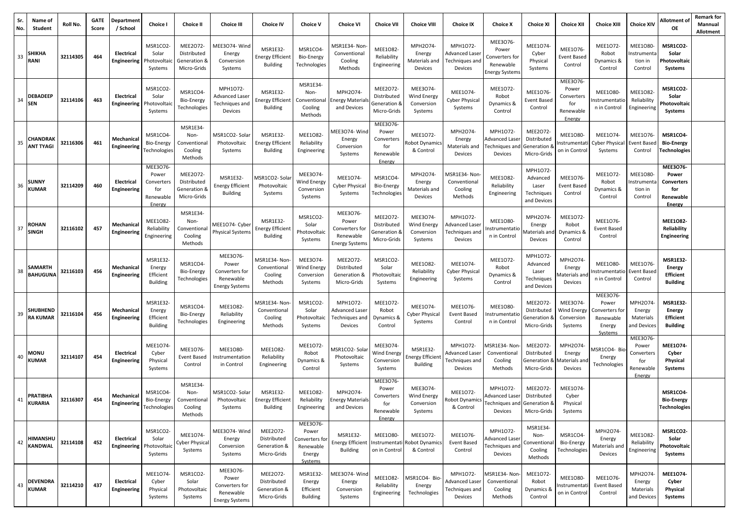| Sr.<br>No. | Name of<br>Student                  | Roll No. | <b>GATE</b><br>Score | Department<br>/ School           | Choice I                                                      | <b>Choice II</b>                                       | <b>Choice III</b>                                                         | <b>Choice IV</b>                                              | <b>Choice V</b>                                                       | <b>Choice VI</b>                                                          | <b>Choice VII</b>                                             | <b>Choice VIII</b>                                     | <b>Choice IX</b>                                          | <b>Choice X</b>                                                      | <b>Choice XI</b>                                          | <b>Choice XII</b>                                            | <b>Choice XIII</b>                                                    | <b>Choice XIV</b>                                             | Allotment of<br><b>OE</b>                                            | <b>Remark for</b><br>Mannual<br>Allotment |
|------------|-------------------------------------|----------|----------------------|----------------------------------|---------------------------------------------------------------|--------------------------------------------------------|---------------------------------------------------------------------------|---------------------------------------------------------------|-----------------------------------------------------------------------|---------------------------------------------------------------------------|---------------------------------------------------------------|--------------------------------------------------------|-----------------------------------------------------------|----------------------------------------------------------------------|-----------------------------------------------------------|--------------------------------------------------------------|-----------------------------------------------------------------------|---------------------------------------------------------------|----------------------------------------------------------------------|-------------------------------------------|
| 33         | <b>SHIKHA</b><br>RANI               | 32114305 | 464                  | Electrical<br>Engineering        | MSR1CO2-<br>Solar<br>Photovoltai<br>Systems                   | MEE2O72-<br>Distributed<br>Generation &<br>Micro-Grids | MEE3O74-Wind<br>Energy<br>Conversion<br>Systems                           | <b>MSR1E32-</b><br><b>Energy Efficient</b><br><b>Building</b> | MSR1CO4<br>Bio-Energy<br>Technologies                                 | MSR1E34- Non<br>Conventional<br>Cooling<br>Methods                        | MEE1082-<br>Reliability<br>Engineering                        | MPH2O74-<br>Energy<br>Materials and<br>Devices         | MPH1072-<br>Advanced Laseı<br>Techniques and<br>Devices   | MEE3076<br>Power<br>Converters for<br>Renewable<br>Inergy System:    | MEE1074<br>Cyber<br>Physical<br>Systems                   | MEE1076-<br><b>Event Based</b><br>Control                    | MEE1072-<br>Robot<br>Dynamics &<br>Control                            | <b>MEE1080-</b><br>nstrumenta<br>tion in<br>Control           | MSR1CO2-<br>Solar<br>Photovoltaic<br>Systems                         |                                           |
| 34         | <b>DEBADEEP</b><br><b>SEN</b>       | 32114106 | 463                  | Electrical<br>Engineering        | MSR1CO2<br>Solar<br>Photovoltai<br>Systems                    | MSR1CO4<br>Bio-Energy<br>Technologies                  | MPH1072-<br>Advanced Laseı<br>Techniques and<br>Devices                   | <b>MSR1E32-</b><br><b>Energy Efficient</b><br><b>Building</b> | MSR1E34-<br>Non-<br>Conventional<br>Cooling<br>Methods                | MPH2O74-<br>nergy Material<br>and Devices                                 | <b>MEE2072</b><br>Distributed<br>Generation &<br>Micro-Grids  | MEE3074<br><b>Wind Energy</b><br>Conversion<br>Systems | MEE1074-<br><b>Cyber Physical</b><br>Systems              | MEE1072-<br>Robot<br>Dynamics &<br>Control                           | MEE1076<br>Event Based<br>Control                         | MEE3076<br>Power<br>Converters<br>for<br>Renewable<br>Energy | MEE1080-<br>nstrumentatic<br>n in Control                             | <b>MEE1082</b><br>Reliability<br>Engineering                  | MSR1CO2-<br>Solar<br>Photovoltaic<br>Systems                         |                                           |
| 35         | <b>CHANDRAK</b><br><b>ANT TYAGI</b> | 32116306 | 461                  | Mechanical<br>Engineering        | MSR1CO4<br>Bio-Energy<br>Technologies                         | MSR1E34-<br>Non-<br>Conventiona<br>Cooling<br>Methods  | MSR1CO2-Solar<br>Photovoltaic<br>Systems                                  | MSR1E32<br><b>Energy Efficient</b><br><b>Building</b>         | MEE1082-<br>Reliability<br>Engineering                                | MEE3O74-Wind<br>Energy<br>Conversion<br>Systems                           | MEE3076-<br>Power<br>Converters<br>for<br>Renewable<br>Energy | MEE1072-<br>tobot Dynamics<br>& Control                | MPH2O74-<br>Energy<br>Materials and<br>Devices            | MPH1O72-<br><b>Advanced Lase</b><br>Fechniques and<br>Devices        | MEE2072-<br>Distributed<br>Generation<br>Micro-Grids      | MEE1080-<br>Instrumentat<br>on in Control                    | MEE1074-<br><b>Cyber Physical</b><br>Systems                          | MEE1076<br><b>Event Based</b><br>Control                      | MSR1CO4<br><b>Bio-Energy</b><br>Technologies                         |                                           |
| 36         | <b>SUNNY</b><br><b>KUMAR</b>        | 32114209 | 460                  | Electrical<br>Engineering        | MEE3076-<br>Power<br>Converters<br>for<br>Renewable<br>Energy | MEE2O72-<br>Distributed<br>Generation &<br>Micro-Grids | MSR1E32<br><b>Energy Efficient</b><br><b>Building</b>                     | MSR1CO2- Sola<br>Photovoltaic<br>Systems                      | MEE3074-<br><b>Wind Energy</b><br>Conversion<br>Systems               | MEE1074-<br>Cyber Physical<br>Systems                                     | MSR1CO4<br>Bio-Energy<br>Technologies                         | MPH2O74-<br>Energy<br>Materials and<br>Devices         | <b>MSR1E34- Non</b><br>Conventional<br>Cooling<br>Methods | MEE1082-<br>Reliability<br>Engineering                               | MPH1072<br>Advanced<br>Laser<br>Techniques<br>and Devices | MEE1076-<br><b>Event Based</b><br>Control                    | MEE1072-<br>Robot<br>Dynamics &<br>Control                            | <b>MEE1080-</b><br>nstrumenta<br>tion in<br>Control           | MEE3076-<br>Power<br><b>Converters</b><br>for<br>Renewable<br>Energy |                                           |
| 37         | <b>ROHAN</b><br><b>SINGH</b>        | 32116102 | 457                  | Mechanical<br>Engineering        | MEE1082-<br>Reliability<br>Engineering                        | MSR1E34-<br>Non-<br>Conventiona<br>Cooling<br>Methods  | MEE1O74- Cyber<br>Physical Systems                                        | <b>MSR1E32-</b><br><b>Energy Efficient</b><br><b>Building</b> | MSR1CO2-<br>Solar<br>Photovoltaic<br>Systems                          | MEE3O76-<br>Power<br>Converters for<br>Renewable<br><b>Energy System:</b> | MEE2072-<br>Distributed<br>Generation &<br>Micro-Grids        | MEE3074-<br>Wind Energy<br>Conversion<br>Systems       | MPH1072-<br>Advanced Laser<br>Techniques anc<br>Devices   | MEE1080-<br>nstrumentatic<br>n in Control                            | MPH2O74-<br>Energy<br>Materials and<br>Devices            | MEE1072-<br>Robot<br>Dynamics &<br>Control                   | MEE1076-<br><b>Event Based</b><br>Control                             |                                                               | <b>MEE1082-</b><br>Reliability<br><b>Engineering</b>                 |                                           |
| 38         | <b>SAMARTH</b><br><b>BAHUGUNA</b>   | 32116103 | 456                  | Mechanical<br>Engineering        | MSR1E32<br>Energy<br>Efficient<br><b>Building</b>             | MSR1CO4-<br>Bio-Energy<br>Technologies                 | MEE3076-<br>Power<br>Converters for<br>Renewable<br><b>Energy Systems</b> | MSR1E34- Non<br>Conventional<br>Cooling<br>Methods            | MEE3074-<br>Wind Energy<br>Conversion<br>Systems                      | MEE2O72-<br>Distributed<br>Generation &<br>Micro-Grids                    | MSR1CO2-<br>Solar<br>hotovoltaic<br>Systems                   | MEE1082-<br>Reliability<br>Engineering                 | MEE1074-<br><b>Cyber Physical</b><br>Systems              | MEE1072-<br>Robot<br>Dynamics &<br>Control                           | MPH1072<br>Advanced<br>Laser<br>Techniques<br>and Devices | MPH2O74-<br>Energy<br>∕laterials an<br>Devices               | MEE1080-<br>nstrumentatic<br>n in Control                             | MEE1076-<br>Event Baseo<br>Control                            | <b>MSR1E32-</b><br><b>Energy</b><br>Efficient<br><b>Building</b>     |                                           |
| 39         | <b>SHUBHEND</b><br><b>RA KUMAR</b>  | 32116104 | 456                  | Mechanical<br>Engineering        | MSR1E32<br>Energy<br>Efficient<br>Building                    | MSR1CO4<br>Bio-Energy<br>Technologies                  | MEE1082<br>Reliability<br>Engineering                                     | MSR1E34- Non<br>Conventional<br>Cooling<br>Methods            | MSR1CO2-<br>Solar<br>Photovoltaic<br>Systems                          | MPH1072-<br>Advanced Lase<br>Techniques and<br>Devices                    | MEE1072<br>Robot<br>Dynamics &<br>Control                     | MEE1074<br>Cyber Physical<br>Systems                   | MEE1076<br>Event Based<br>Control                         | MEE1080-<br>nstrumentatio<br>n in Control                            | MEE2072<br>Distributed<br>Generation 8<br>Micro-Grids     | MEE3074-<br>Wind Energy<br>Conversion<br>Systems             | MEE3076-<br>Power<br>Converters for<br>Renewable<br>Energy<br>Systems | MPH2O74-<br>Energy<br>Materials<br>and Devices                | <b>MSR1E32-</b><br>Energy<br>Efficient<br><b>Building</b>            |                                           |
| 40         | <b>MONU</b><br><b>KUMAR</b>         | 32114107 | 454                  | Electrical<br>Engineering        | MEE1074<br>Cyber<br>Physical<br>Systems                       | MEE1076<br><b>Event Based</b><br>Control               | <b>MEE1080</b><br>nstrumentation<br>in Control                            | MEE1082-<br>Reliability<br>Engineering                        | MEE1072-<br>Robot<br>Dynamics &<br>Control                            | MSR1CO2- Sola<br>Photovoltaic<br>Systems                                  | MEE3074<br>Wind Energy<br>Conversion<br>Systems               | <b>MSR1E32-</b><br>nergy Efficient<br><b>Building</b>  | MPH1O72-<br>Advanced Laseı<br>Techniques and<br>Devices   | ASR1E34-Non<br>Conventional<br>Cooling<br>Methods                    | MEE2072-<br>Distributed<br>Generation &<br>Micro-Grids    | MPH2O74-<br>Energy<br>laterials an<br>Devices                | VISR1CO4- Bio<br>Energy<br>Technologies                               | MEE3076-<br>Power<br>Converters<br>for<br>Renewable<br>Energy | MEE1074-<br>Cyber<br>Physical<br>Systems                             |                                           |
| 41         | <b>PRATIBHA</b><br><b>KURARIA</b>   | 32116307 | 454                  | Mechanical<br>Engineering        | MSR1CO4-<br>Bio-Energy<br>Technologies                        | MSR1E34-<br>Non-<br>Conventional<br>Cooling<br>Methods | MSR1CO2-Solar<br>Photovoltaic<br>Systems                                  | <b>MSR1E32-</b><br><b>Energy Efficient</b><br><b>Building</b> | MEE1082-<br>Reliability<br>Engineering                                | MPH2O74-<br>Energy Materials<br>and Devices                               | MEE3076-<br>Power<br>Converters<br>for<br>Renewable<br>Energy | MEE3074<br><b>Wind Energy</b><br>Conversion<br>Systems | MEE1072-<br>Robot Dynamics<br>& Control                   | MPH1072-<br>Advanced Laser<br>Techniques and Generation &<br>Devices | MEE2072<br>Distributed<br>Micro-Grids                     | MEE1074<br>Cyber<br>Physical<br>Systems                      |                                                                       |                                                               | MSR1CO4-<br><b>Bio-Energy</b><br><b>Technologies</b>                 |                                           |
| 42         | <b>HIMANSHU</b><br><b>KANDWAL</b>   | 32114108 | 452                  | Electrical<br><b>Engineering</b> | MSR1CO2-<br>Solar<br>Photovoltaio<br>Systems                  | MEE1074-<br><b>Cyber Physical</b><br>Systems           | MEE3O74-Wind<br>Energy<br>Conversion<br>Systems                           | MEE2O72-<br>Distributed<br>Generation &<br>Micro-Grids        | MEE3076-<br>Power<br>Converters for<br>Renewable<br>Energy<br>Systems | <b>MSR1E32-</b><br><b>Energy Efficient</b><br><b>Building</b>             | MEE1080-<br>on in Control                                     | MEE1072-<br>Instrumentati Robot Dynamics<br>& Control  | MEE1076-<br>Event Based<br>Control                        | MPH1O72-<br>Advanced Laser<br>Fechniques and<br>Devices              | MSR1E34-<br>Non-<br>Conventiona<br>Cooling<br>Methods     | MSR1CO4-<br><b>Bio-Energy</b><br>Technologies                | MPH2O74-<br>Energy<br>Materials and<br>Devices                        | MEE1082-<br>Reliability<br>Engineering                        | MSR1CO2-<br>Solar<br>Photovoltaic<br>Systems                         |                                           |
| 43         | <b>DEVENDRA</b><br><b>KUMAR</b>     | 32114210 | 437                  | Electrical<br>Engineering        | MEE1074<br>Cyber<br>Physical<br>Systems                       | MSR1CO2-<br>Solar<br>Photovoltaic<br>Systems           | MEE3076-<br>Power<br>Converters for<br>Renewable<br><b>Energy Systems</b> | MEE2O72-<br>Distributed<br>Generation &<br>Micro-Grids        | MSR1E32-<br>Energy<br>Efficient<br><b>Building</b>                    | MEE3O74-Wind<br>Energy<br>Conversion<br>Systems                           | MEE1082-<br>Reliability<br>Engineering                        | <b>MSR1CO4-Bio-</b><br>Energy<br>Technologies          | MPH1072-<br>Advanced Laser<br>Techniques and<br>Devices   | <b>MSR1E34-Non</b><br>Conventional<br>Cooling<br>Methods             | MEE1072-<br>Robot<br>Dynamics &<br>Control                | MEE1080-<br>Instrumentat<br>on in Control                    | MEE1076<br>Event Based<br>Control                                     | MPH2O74-<br>Energy<br>Materials<br>and Devices                | MEE1074-<br>Cyber<br>Physical<br>Systems                             |                                           |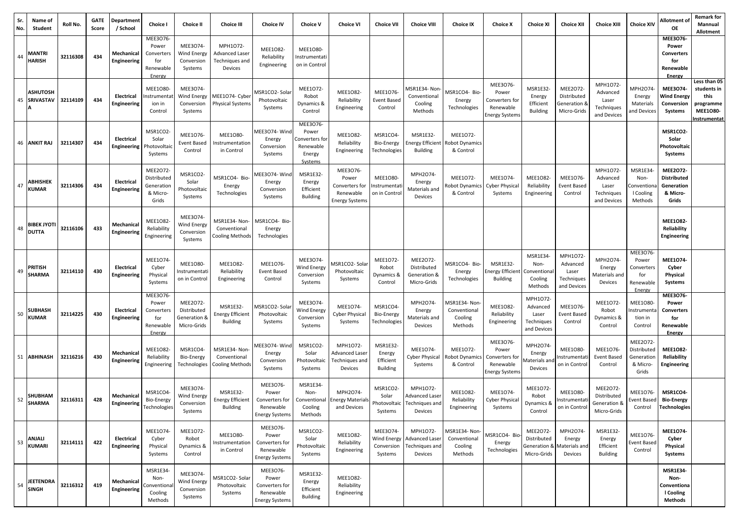| Sr.<br>No. | Name of<br>Student                  | Roll No. | <b>GATE</b><br>Score | Department<br>/ School           | <b>Choice I</b>                                               | <b>Choice II</b>                                       | <b>Choice III</b>                                              | <b>Choice IV</b>                                                          | <b>Choice V</b>                                                       | <b>Choice VI</b>                                                   | <b>Choice VII</b>                                 | <b>Choice VIII</b>                                                   | <b>Choice IX</b>                                    | <b>Choice X</b>                                                    | <b>Choice XI</b>                                                     | <b>Choice XII</b>                                          | <b>Choice XIII</b>                                         | <b>Choice XIV</b>                                             | Allotment of<br>OE                                                | <b>Remark for</b><br>Mannual<br>Allotment                                                  |
|------------|-------------------------------------|----------|----------------------|----------------------------------|---------------------------------------------------------------|--------------------------------------------------------|----------------------------------------------------------------|---------------------------------------------------------------------------|-----------------------------------------------------------------------|--------------------------------------------------------------------|---------------------------------------------------|----------------------------------------------------------------------|-----------------------------------------------------|--------------------------------------------------------------------|----------------------------------------------------------------------|------------------------------------------------------------|------------------------------------------------------------|---------------------------------------------------------------|-------------------------------------------------------------------|--------------------------------------------------------------------------------------------|
| 44         | <b>MANTRI</b><br><b>HARISH</b>      | 32116308 | 434                  | Mechanical<br>Engineering        | MEE3076-<br>Power<br>Converters<br>for<br>Renewable<br>Energy | MEE3074-<br>Wind Energy<br>Conversion<br>Systems       | MPH1072-<br><b>Advanced Laser</b><br>Techniques and<br>Devices | MEE1082-<br>Reliability<br>Engineering                                    | MEE1080-<br>Instrumentati<br>on in Control                            |                                                                    |                                                   |                                                                      |                                                     |                                                                    |                                                                      |                                                            |                                                            |                                                               | MEE3076-<br>Power<br>Converters<br>for<br>Renewable<br>Energy     |                                                                                            |
| 45         | <b>ASHUTOSH</b><br><b>SRIVASTAV</b> | 32114109 | 434                  | Electrical<br>Engineering        | <b>MEE1080-</b><br>Instrumenta<br>ion in<br>Control           | MEE3074-<br>Wind Energy<br>Conversion<br>Systems       | MEE1O74- Cyber<br><b>Physical Systems</b>                      | ASR1CO2- Solai<br>Photovoltaic<br>Systems                                 | MEE1072-<br>Robot<br>Dynamics &<br>Control                            | MEE1082-<br>Reliability<br>Engineering                             | MEE1076<br>Event Based<br>Control                 | ASR1E34-Non-<br>Conventional<br>Cooling<br>Methods                   | <b>MSR1CO4-Bio-</b><br>Energy<br>Technologies       | MEE3076<br>Power<br>Converters for<br>Renewable<br>Energy System:  | MSR1E32-<br>Energy<br>Efficient<br><b>Building</b>                   | MEE2072-<br>Distributed<br>Generation &<br>Micro-Grids     | MPH1072<br>Advanced<br>Laser<br>Techniques<br>and Devices  | MPH2O74-<br>Energy<br>Materials<br>and Devices                | MEE3074-<br><b>Wind Energy</b><br>Conversion<br>Systems           | Less than 05<br>students in<br>this<br>programme<br><b>MEE1080-</b><br><u>Instrumentat</u> |
|            | 46 ANKIT RAJ                        | 32114307 | 434                  | Electrical<br>Engineering        | MSR1CO2-<br>Solar<br>Photovoltaio<br>Systems                  | MEE1076-<br><b>Event Based</b><br>Control              | <b>MEE1O80-</b><br>nstrumentation<br>in Control                | MEE3O74-Wind<br>Energy<br>Conversion<br>Systems                           | MEE3076-<br>Power<br>Converters for<br>Renewable<br>Energy<br>Systems | MEE1082-<br>Reliability<br>Engineering                             | MSR1CO4<br>Bio-Energy<br>Technologies             | MSR1E32-<br>nergy Efficient<br><b>Building</b>                       | MEE1072-<br>Robot Dynamics<br>& Control             |                                                                    |                                                                      |                                                            |                                                            |                                                               | MSR1CO2-<br>Solar<br>Photovoltaic<br>Systems                      |                                                                                            |
| 47         | <b>ABHISHEK</b><br><b>KUMAR</b>     | 32114306 | 434                  | Electrical<br>Engineering        | MEE2072-<br>Distributed<br>Generation<br>& Micro-<br>Grids    | MSR1CO2-<br>Solar<br>hotovoltaic<br>Systems            | MSR1CO4- Bio-<br>Energy<br>Technologies                        | AEE3O74-Winc<br>Energy<br>Conversion<br>Systems                           | MSR1E32<br>Energy<br>Efficient<br><b>Building</b>                     | MEE3076-<br>Power<br>Converters for<br>Renewable<br>Energy Systems | <b>MEE1080-</b><br>Instrumentat<br>on in Control  | MPH2O74-<br>Energy<br>Materials and<br>Devices                       | MEE1072-<br>Robot Dynamics<br>& Control             | MEE1074-<br><b>Cyber Physical</b><br>Systems                       | MEE1082-<br>Reliability<br>Engineering                               | MEE1076<br>Event Based<br>Control                          | MPH1072-<br>Advanced<br>Laser<br>Techniques<br>and Devices | MSR1E34<br>Non-<br>Convention<br>I Cooling<br>Methods         | MEE2072-<br><b>Distributed</b><br>Generation<br>& Micro-<br>Grids |                                                                                            |
|            | $48$ BIBEK JYOTI<br><b>DUTTA</b>    | 32116106 | 433                  | Mechanical<br>Engineering        | <b>MEE1082</b><br>Reliability<br>Engineering                  | MEE3O74-<br>Wind Energy<br>Conversion<br>Systems       | MSR1E34- Non-<br>Conventional<br>Cooling Methods               | MSR1CO4- Bio-<br>Energy<br>Technologies                                   |                                                                       |                                                                    |                                                   |                                                                      |                                                     |                                                                    |                                                                      |                                                            |                                                            |                                                               | <b>MEE1082-</b><br>Reliability<br>Engineering                     |                                                                                            |
| 49         | <b>PRITISH</b><br><b>SHARMA</b>     | 32114110 | 430                  | Electrical<br>Engineering        | MEE1074-<br>Cyber<br>Physical<br>Systems                      | MEE1080-<br>Instrumentati<br>on in Control             | MEE1082-<br>Reliability<br>Engineering                         | MEE1076-<br>Event Based<br>Control                                        | MEE3074-<br>Wind Energy<br>Conversion<br>Systems                      | ASR1CO2-Solar<br>Photovoltaic<br>Systems                           | MEE1072-<br>Robot<br>Dynamics &<br>Control        | MEE2O72-<br>Distributed<br>Generation &<br>Micro-Grids               | MSR1CO4- Bio-<br>Energy<br>Technologies             | MSR1E32-<br><b>Energy Efficient</b><br><b>Building</b>             | MSR1E34-<br>Non-<br>Conventiona<br>Cooling<br>Methods                | MPH1O72-<br>Advanced<br>Laser<br>Techniques<br>and Devices | MPH2O74-<br>Energy<br>Materials and<br>Devices             | MEE3076-<br>Power<br>Converters<br>for<br>Renewable<br>Energy | MEE1074-<br>Cyber<br>Physical<br>Systems                          |                                                                                            |
| 50         | <b>SUBHASH</b><br><b>KUMAR</b>      | 32114225 | 430                  | Electrical<br>Engineering        | MEE3076-<br>Power<br>Converters<br>for<br>Renewable<br>Energy | MEE2O72-<br>Distributed<br>Generation &<br>Micro-Grids | MSR1E32-<br><b>Energy Efficient</b><br><b>Building</b>         | VISR1CO2-Solar<br>Photovoltaic<br>Systems                                 | MEE3074-<br><b>Wind Energy</b><br>Conversion<br>Systems               | MEE1074-<br><b>Cyber Physical</b><br>Systems                       | MSR1CO4<br>Bio-Energy<br>Technologie:             | MPH2O74-<br>Energy<br>Materials and<br>Devices                       | MSR1E34- Non-<br>Conventional<br>Cooling<br>Methods | MEE1082-<br>Reliability<br>Engineering                             | MPH1072-<br>Advanced<br>Laser<br>Techniques<br>and Devices           | MEE1076<br><b>Event Based</b><br>Control                   | MEE1072-<br>Robot<br>Dynamics &<br>Control                 | <b>MEE1080</b><br>nstrumenta<br>tion in<br>Control            | MEE3076-<br>Power<br>Converters<br>for<br>Renewable<br>Energy     |                                                                                            |
|            | 51 ABHINASH                         | 32116216 | 430                  | Mechanical<br>Engineering        | MEE1082-<br>Reliability<br>Engineering                        | MSR1CO4-<br>Bio-Energy<br>Technologies                 | MSR1E34- Non-<br>Conventional<br><b>Cooling Methods</b>        | MEE3O74- Wind<br>Energy<br>Conversion<br>Systems                          | MSR1CO2-<br>Solar<br>Photovoltaic<br>Systems                          | MPH1072-<br>Advanced Laser<br>Techniques and<br>Devices            | MSR1E32<br>Energy<br>Efficient<br><b>Building</b> | MEE1074-<br><b>Cyber Physical</b><br>Systems                         | MEE1072-<br>:Nobot Dynamic<br>& Control             | MEE3076-<br>Power<br>Converters for<br>Renewable<br>Energy System: | MPH2O74-<br>Energy<br>Aaterials ar<br>Devices                        | MEE1080-<br>Instrumentat<br>on in Control                  | MEE1076-<br>Event Based<br>Control                         | MEE2072-<br>Distributed<br>Generatior<br>& Micro-<br>Grids    | MEE1082-<br>Reliability<br><b>Engineering</b>                     |                                                                                            |
| 52         | SHUBHAM<br><b>SHARMA</b>            | 32116311 | 428                  | Mechanical<br><b>Engineering</b> | MSR1CO4<br>Bio-Energy<br>Technologies                         | MEE3O74-<br>Wind Energy<br>Conversion<br>Systems       | MSR1E32-<br><b>Energy Efficient</b><br>Building                | MEE3076-<br>Power<br>Converters for<br>Renewable<br><b>Energy Systems</b> | MSR1E34-<br>Non-<br>Cooling<br>Methods                                | MPH2O74-<br><b>Conventional Energy Materials</b><br>and Devices    | MSR1CO2<br>Solar<br>Systems                       | MPH1O72-<br>Advanced Laser<br>Photovoltaic Techniques and<br>Devices | MEE1082<br>Reliability<br>Engineering               | MEE1074-<br><b>Cyber Physical</b><br>Systems                       | MEE1072<br>Robot<br>Dynamics &<br>Control                            | <b>MEE1080-</b><br>Instrumentat<br>on in Contro            | MEE2O72-<br>Distributed<br>Generation &<br>Micro-Grids     | MEE1076-<br>Event Based<br>Control                            | MSR1CO4-<br><b>Bio-Energy</b><br><b>Technologies</b>              |                                                                                            |
| 53         | <b>ANJALI</b><br><b>KUMARI</b>      | 32114111 | 422                  | Electrical<br>Engineering        | MEE1074-<br>Cyber<br>Physical<br>Systems                      | MEE1072-<br>Robot<br>Dynamics &<br>Control             | <b>MEE1080-</b><br>nstrumentation<br>in Control                | MEE3O76-<br>Power<br>Converters for<br>Renewable<br><b>Energy Systems</b> | MSR1CO2-<br>Solar<br>Photovoltaic<br>Systems                          | MEE1082-<br>Reliability<br>Engineering                             | MEE3074-<br>Wind Energy<br>Conversion<br>Systems  | MPH1072-<br>Advanced Laser<br>Techniques and<br>Devices              | MSR1E34-Non-<br>Conventional<br>Cooling<br>Methods  | MSR1CO4- Bio<br>Energy<br>Technologies                             | MEE2O72-<br>Distributed<br>Generation & Materials and<br>Micro-Grids | MPH2O74-<br>Energy<br>Devices                              | MSR1E32-<br>Energy<br>Efficient<br><b>Building</b>         | MEE1076-<br>Event Based<br>Control                            | MEE1074-<br>Cyber<br>Physical<br>Systems                          |                                                                                            |
| 54         | <b>JEETENDRA</b><br><b>SINGH</b>    | 32116312 | 419                  | Mechanical<br>Engineering        | MSR1E34<br>Non-<br>Conventiona<br>Cooling<br>Methods          | MEE3074-<br>Wind Energy<br>Conversion<br>Systems       | MSR1CO2- Solar<br>Photovoltaic<br>Systems                      | MEE3O76-<br>Power<br>Converters for<br>Renewable<br><b>Energy Systems</b> | <b>MSR1E32-</b><br>Energy<br>Efficient<br>Building                    | MEE1082-<br>Reliability<br>Engineering                             |                                                   |                                                                      |                                                     |                                                                    |                                                                      |                                                            |                                                            |                                                               | <b>MSR1E34-</b><br>Non-<br>Conventiona<br>I Cooling<br>Methods    |                                                                                            |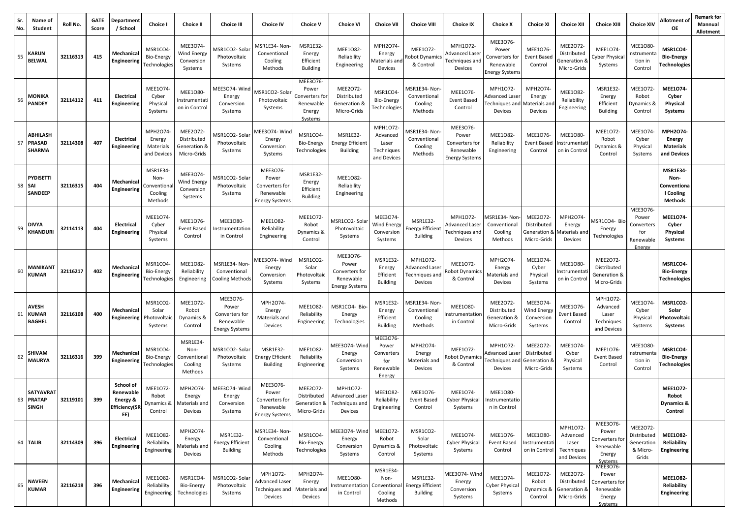| Sr.<br>No. | Name of<br><b>Student</b>                         | Roll No. | <b>GATE</b><br>Score | Department<br>/ School                                            | Choice I                                             | <b>Choice II</b>                                       | <b>Choice III</b>                                                         | <b>Choice IV</b>                                                          | <b>Choice V</b>                                                     | <b>Choice VI</b>                                                          | <b>Choice VII</b>                                             | <b>Choice VIII</b>                                             | <b>Choice IX</b>                                                   | <b>Choice X</b>                                                    | <b>Choice XI</b>                                             | <b>Choice XII</b>                                          | <b>Choice XIII</b>                                                    | <b>Choice XIV</b>                                             | Allotment of<br><b>OE</b>                                             | <b>Remark for</b><br>Mannual<br>Allotment |
|------------|---------------------------------------------------|----------|----------------------|-------------------------------------------------------------------|------------------------------------------------------|--------------------------------------------------------|---------------------------------------------------------------------------|---------------------------------------------------------------------------|---------------------------------------------------------------------|---------------------------------------------------------------------------|---------------------------------------------------------------|----------------------------------------------------------------|--------------------------------------------------------------------|--------------------------------------------------------------------|--------------------------------------------------------------|------------------------------------------------------------|-----------------------------------------------------------------------|---------------------------------------------------------------|-----------------------------------------------------------------------|-------------------------------------------|
| 55         | <b>KARUN</b><br><b>BELWAL</b>                     | 32116313 | 415                  | Mechanica<br><b>Engineering</b>                                   | MSR1CO4<br>Bio-Energy<br><b>Technologies</b>         | MEE3074-<br>Wind Energy<br>Conversion<br>Systems       | MSR1CO2- Sola<br>Photovoltaic<br>Systems                                  | MSR1E34- Non<br>Conventional<br>Cooling<br>Methods                        | MSR1E32<br>Energy<br>Efficient<br><b>Building</b>                   | MEE1082-<br>Reliability<br>Engineering                                    | MPH2O74-<br>Energy<br>Aaterials and<br>Devices                | MEE1072-<br>Robot Dynamics<br>& Control                        | MPH1072-<br>Advanced Laser<br>Techniques and<br>Devices            | MEE3076-<br>Power<br>Converters for<br>Renewable<br>Energy System: | MEE1076<br>Event Base<br>Control                             | MEE2O72-<br>Distributed<br>6 Generation<br>Micro-Grids     | MEE1074<br>Cyber Physica<br>Systems                                   | <b>MEE1080</b><br>nstrument<br>tion in<br>Control             | MSR1CO4-<br><b>Bio-Energy</b><br><b>Technologies</b>                  |                                           |
| 56         | <b>MONIKA</b><br><b>PANDEY</b>                    | 32114112 | 411                  | Electrical<br>Engineering                                         | MEE1074<br>Cyber<br>Physical<br>Systems              | MEE1080-<br>Instrumentati<br>on in Control             | MEE3O74-Wind<br>Energy<br>Conversion<br>Systems                           | ASR1CO2- Sola<br>Photovoltaic<br>Systems                                  | MEE3076-<br>Power<br>onverters fo<br>Renewable<br>Energy<br>Systems | MEE2O72-<br>Distributed<br>Generation &<br>Micro-Grids                    | MSR1CO4-<br><b>Bio-Energy</b><br><b>Technologies</b>          | /ISR1E34- Non-<br>Conventional<br>Cooling<br>Methods           | MEE1076-<br><b>Event Based</b><br>Control                          | MPH1072-<br>dvanced Lase<br>echniques and<br>Devices               | MPH2O74<br>Energy<br>Vlaterials ar<br>Devices                | MEE1082<br>Reliability<br>Engineering                      | MSR1E32<br>Energy<br>Efficient<br><b>Building</b>                     | MEE1072-<br>Robot<br>Dynamics &<br>Control                    | <b>MEE1074-</b><br>Cyber<br>Physical<br>Systems                       |                                           |
| 57         | <b>ABHILASH</b><br><b>PRASAD</b><br><b>SHARMA</b> | 32114308 | 407                  | Electrical<br>Engineering                                         | MPH2O74<br>Energy<br>Materials<br>and Devices        | MEE2O72-<br>Distributed<br>Generation &<br>Micro-Grids | MSR1CO2-Sola<br>Photovoltaic<br>Systems                                   | MEE3O74-Wind<br>Energy<br>Conversion<br>Systems                           | MSR1CO4-<br><b>Bio-Energy</b><br>Technologies                       | MSR1E32-<br><b>Energy Efficient</b><br><b>Building</b>                    | MPH1072-<br>Advanced<br>Laser<br>Techniques<br>and Devices    | /ISR1E34- Non-<br>Conventional<br>Cooling<br>Methods           | MEE3076-<br>Power<br>Converters for<br>Renewable<br>Energy Systems | MEE1082-<br>Reliability<br>Engineering                             | MEE1076<br><b>Event Based</b><br>Control                     | MEE1080-<br>Instrumentat<br>on in Contro                   | MEE1072-<br>Robot<br>Dynamics &<br>Control                            | MEE1074<br>Cyber<br>Physical<br>Systems                       | MPH2O74-<br><b>Energy</b><br><b>Materials</b><br>and Devices          |                                           |
|            | <b>PYDISETTI</b><br>58 SAI<br><b>SANDEEP</b>      | 32116315 | 404                  | Mechanical<br><b>Engineering</b>                                  | MSR1E34<br>Non-<br>Conventiona<br>Cooling<br>Methods | MEE3074-<br>Wind Energy<br>Conversion<br>Systems       | MSR1CO2-Solar<br>Photovoltaic<br>Systems                                  | MEE3076-<br>Power<br>Converters for<br>Renewable<br><b>Energy Systems</b> | <b>MSR1E32-</b><br>Energy<br>Efficient<br><b>Building</b>           | MEE1082-<br>Reliability<br>Engineering                                    |                                                               |                                                                |                                                                    |                                                                    |                                                              |                                                            |                                                                       |                                                               | <b>MSR1E34-</b><br>Non-<br>Conventiona<br>I Cooling<br><b>Methods</b> |                                           |
| 59         | <b>DIVYA</b><br><b>KHANDURI</b>                   | 32114113 | 404                  | Electrical<br>Engineering                                         | MEE1074-<br>Cyber<br>Physical<br>Systems             | MEE1076-<br><b>Event Based</b><br>Control              | <b>MEE1080-</b><br>Instrumentation<br>in Control                          | MEE1082-<br>Reliability<br>Engineering                                    | MEE1072-<br>Robot<br>Dynamics &<br>Control                          | <b>MSR1CO2-Sola</b><br>Photovoltaic<br>Systems                            | MEE3074-<br>Wind Energy<br>Conversion<br>Systems              | <b>MSR1E32-</b><br><b>Energy Efficient</b><br><b>Building</b>  | MPH1072-<br>Advanced Laser<br>Techniques and<br>Devices            | <b>ASR1E34-Non</b><br>Conventional<br>Cooling<br>Methods           | MEE2072-<br>Distributed<br>Generation &<br>Micro-Grids       | MPH2O74-<br>Energy<br>Aaterials an<br>Devices              | MSR1CO4-Bio<br>Energy<br>Technologies                                 | MEE3076-<br>Power<br>Converters<br>for<br>Renewable<br>Energy | MEE1074-<br>Cyber<br>Physical<br>Systems                              |                                           |
| 60         | <b>MANIKAN1</b><br><b>KUMAR</b>                   | 32116217 | 402                  | Mechanica<br>Engineering                                          | MSR1CO4<br>Bio-Energy<br>Technologies                | MEE1082-<br>Reliability<br>Engineering                 | MSR1E34- Non-<br>Conventional<br>Cooling Methods                          | MEE3O74-Winc<br>Energy<br>Conversion<br>Systems                           | MSR1CO2-<br>Solar<br>Photovoltaic<br>Systems                        | MEE3O76-<br>Power<br>Converters for<br>Renewable<br><b>Energy Systems</b> | MSR1E32-<br>Energy<br>Efficient<br><b>Building</b>            | MPH1O72-<br><b>Advanced Laser</b><br>Fechniques and<br>Devices | MEE1072-<br>obot Dynamics<br>& Control                             | MPH2O74-<br>Energy<br>Materials and<br>Devices                     | MEE1074<br>Cyber<br>Physical<br>Systems                      | MEE1080-<br>nstrumenta<br>on in Contro                     | MEE2O72-<br>Distributed<br>Generation &<br>Micro-Grids                |                                                               | MSR1CO4-<br><b>Bio-Energy</b><br><b>Technologies</b>                  |                                           |
| 61         | <b>AVESH</b><br><b>KUMAR</b><br><b>BAGHEL</b>     | 32116108 | 400                  | Mechanical<br>Engineering                                         | MSR1CO2<br>Solar<br>Photovoltaio<br>Systems          | MEE1072-<br>Robot<br>Dynamics &<br>Control             | MEE3076-<br>Power<br>Converters for<br>Renewable<br><b>Energy Systems</b> | MPH2O74-<br>Energy<br>Materials and<br>Devices                            | MEE1082-<br>Reliability<br>Engineering                              | MSR1CO4- Bio-<br>Energy<br>Technologies                                   | MSR1E32<br>Energy<br>Efficient<br><b>Building</b>             | <b>MSR1E34-Non-</b><br>Conventional<br>Cooling<br>Methods      | MEE1080-<br>าstrumentatior<br>in Control                           | MEE2O72-<br>Distributed<br>Generation &<br>Micro-Grids             | MEE3074<br>Wind Energy<br>Conversion<br>Systems              | MEE1076-<br>Event Basec<br>Control                         | MPH1072-<br>Advanced<br>Laser<br>Techniques<br>and Devices            | MEE1074-<br>Cyber<br>Physical<br>Systems                      | <b>MSR1CO2-</b><br>Solar<br>Photovoltaic<br>Systems                   |                                           |
| 62         | <b>SHIVAM</b><br><b>MAURYA</b>                    | 32116316 | 399                  | Mechanical<br>Engineering                                         | MSR1CO4<br>Bio-Energy<br>Technologies                | MSR1E34-<br>Non-<br>Conventional<br>Cooling<br>Methods | MSR1CO2-Sola<br>Photovoltaic<br>Systems                                   | MSR1E32-<br><b>Energy Efficient</b><br><b>Building</b>                    | MEE1082-<br>Reliability<br>Engineering                              | AEE3O74-Wind<br>Energy<br>Conversion<br>Systems                           | MEE3076-<br>Power<br>Converters<br>for<br>Renewable<br>Energy | MPH2O74-<br>Energy<br>Materials and<br>Devices                 | MEE1072-<br>obot Dynamics<br>& Control                             | MPH1O72-<br>dvanced Lase<br>echniques and<br>Devices               | <b>MEE2O72</b><br>Distributed<br>Generation &<br>Micro-Grids | MEE1074<br>Cyber<br>Physical<br>Systems                    | MEE1076-<br><b>Event Based</b><br>Control                             | <b>MEE1O80-</b><br>nstrument<br>tion in<br>Control            | MSR1CO4-<br><b>Bio-Energy</b><br><b>Technologies</b>                  |                                           |
| 63         | <b>SATYAVRAT</b><br><b>PRATAP</b><br>ISINGH       | 32119101 | 399                  | School of<br>Renewable<br>Energy &<br><b>Efficiency(SF</b><br>EE) | MEE1072<br>Robot<br>Dynamics &<br>Control            | MPH2O74<br>Energy<br>Materials and<br>Devices          | MEE3O74-Wind<br>Energy<br>Conversion<br>Systems                           | MEE3076-<br>Power<br>Converters for<br>Renewable<br><b>Energy Systems</b> | MEE2072-<br>Distributed<br>Generation &<br>Micro-Grids              | MPH1072-<br><b>Advanced Laser</b><br>Techniques and<br>Devices            | MEE1082<br>Reliability<br>Engineering                         | MEE1076<br><b>Event Based</b><br>Control                       | MEE1074-<br>Cyber Physical<br>Systems                              | MEE1080-<br>Instrumentatio<br>n in Control                         |                                                              |                                                            |                                                                       |                                                               | MEE1072-<br>Robot<br>Dynamics &<br>Control                            |                                           |
|            | 64 TALIB                                          | 32114309 | 396                  | Electrical<br>Engineering                                         | MEE1082-<br>Reliability<br>Engineering               | MPH2O74-<br>Energy<br>Materials and<br>Devices         | MSR1E32-<br><b>Energy Efficient</b><br>Building                           | MSR1E34- Non-<br>Conventional<br>Cooling<br>Methods                       | MSR1CO4-<br>Bio-Energy<br>Technologies                              | MEE3O74-Wind<br>Energy<br>Conversion<br>Systems                           | MEE1072<br>Robot<br>Dynamics &<br>Control                     | MSR1CO2-<br>Solar<br>Photovoltaic<br>Systems                   | MEE1074-<br><b>Cyber Physical</b><br>Systems                       | MEE1076-<br>Event Based<br>Control                                 | MEE1080-<br>Instrumentat<br>on in Control                    | MPH1O72-<br>Advanced<br>Laser<br>Techniques<br>and Devices | MEE3076-<br>Power<br>Converters for<br>Renewable<br>Energy<br>Systems | MEE2O72-<br>Distributed<br>Generation<br>& Micro-<br>Grids    | <b>MEE1082-</b><br>Reliability<br>Engineering                         |                                           |
| 65         | <b>NAVEEN</b><br><b>KUMAR</b>                     | 32116218 | 396                  | Mechanical<br>Engineering                                         | MEE1082-<br>Reliability<br>Engineering               | MSR1CO4-<br>Bio-Energy<br>Technologies                 | MSR1CO2-Sola<br>Photovoltaic<br>Systems                                   | MPH1072-<br>Advanced Laser<br>Techniques and<br>Devices                   | MPH2O74-<br>Energy<br>Materials and<br>Devices                      | MEE1080-<br>nstrumentation<br>in Control                                  | MSR1E34-<br>Non-<br>Conventional<br>Cooling<br>Methods        | MSR1E32-<br><b>Energy Efficient</b><br><b>Building</b>         | MEE3O74- Wind<br>Energy<br>Conversion<br>Systems                   | MEE1074-<br><b>Cyber Physical</b><br>Systems                       | MEE1072-<br>Robot<br>Dynamics &<br>Control                   | MEE2O72-<br>Distributed<br>Generation &<br>Micro-Grids     | MEE3076-<br>Power<br>Converters for<br>Renewable<br>Energy<br>Systems |                                                               | <b>MEE1082-</b><br>Reliability<br>Engineering                         |                                           |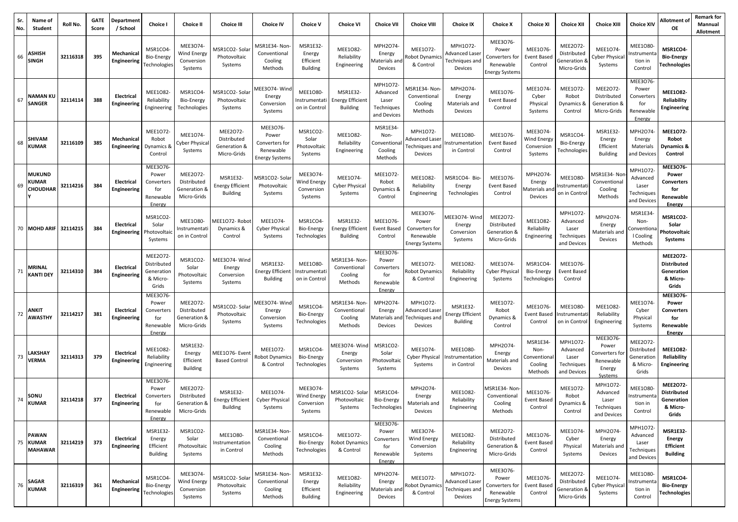| Sr.<br>No. | Name of<br>Student                         | Roll No. | <b>GATE</b><br>Score | Department<br>/ School           | Choice I                                                      | <b>Choice II</b>                                       | <b>Choice III</b>                                             | <b>Choice IV</b>                                                   | <b>Choice V</b>                                         | <b>Choice VI</b>                                              | <b>Choice VII</b>                                             | <b>Choice VIII</b>                                                        | <b>Choice IX</b>                                        | <b>Choice X</b>                                                           | <b>Choice XI</b>                                      | <b>Choice XII</b>                                          | <b>Choice XIII</b>                                                   | <b>Choice XIV</b>                                             | Allotment of<br>OE                                                       | <b>Remark for</b><br>Mannual<br>Allotment |
|------------|--------------------------------------------|----------|----------------------|----------------------------------|---------------------------------------------------------------|--------------------------------------------------------|---------------------------------------------------------------|--------------------------------------------------------------------|---------------------------------------------------------|---------------------------------------------------------------|---------------------------------------------------------------|---------------------------------------------------------------------------|---------------------------------------------------------|---------------------------------------------------------------------------|-------------------------------------------------------|------------------------------------------------------------|----------------------------------------------------------------------|---------------------------------------------------------------|--------------------------------------------------------------------------|-------------------------------------------|
| 66         | <b>ASHISH</b><br><b>SINGH</b>              | 32116318 | 395                  | Mechanical<br>Engineering        | MSR1CO4<br>Bio-Energy<br>Technologie:                         | MEE3074-<br>Wind Energy<br>Conversion<br>Systems       | MSR1CO2-Solar<br>Photovoltaic<br>Systems                      | <b>MSR1E34- Non</b><br>Conventional<br>Cooling<br>Methods          | MSR1E32<br>Energy<br>Efficient<br>Building              | MEE1082-<br>Reliability<br>Engineering                        | MPH2O74-<br>Energy<br>laterials and<br>Devices                | MEE1072-<br>Robot Dynamics<br>& Control                                   | MPH1072-<br>Advanced Laseı<br>Techniques and<br>Devices | MEE3076-<br>Power<br>Converters for<br>Renewable<br>Energy Systems        | MEE1076<br><b>Event Based</b><br>Control              | MEE2072-<br>Distributed<br>Generation 8<br>Micro-Grids     | MEE1074-<br>Cyber Physica<br>Systems                                 | <b>MEE1080</b><br>nstrument<br>tion in<br>Control             | MSR1CO4-<br><b>Bio-Energy</b><br><b>Technologies</b>                     |                                           |
| 67         | <b>NAMAN KL</b><br><b>SANGER</b>           | 32114114 | 388                  | Electrical<br>Engineering        | MEE1082<br>Reliability<br>Engineering                         | MSR1CO4-<br>Bio-Energy<br>Technologies                 | MSR1CO2- Solar<br>Photovoltaic<br>Systems                     | AEE3O74-Win<br>Energy<br>Conversion<br>Systems                     | <b>MEE1O80-</b><br>nstrumentati<br>on in Control        | <b>MSR1E32-</b><br><b>Energy Efficient</b><br><b>Building</b> | MPH1O72-<br>Advanced<br>Laser<br>Techniques<br>and Devices    | <b>MSR1E34-Non-</b><br>Conventional<br>Cooling<br>Methods                 | MPH2O74<br>Energy<br>Materials and<br>Devices           | MEE1076<br>Event Based<br>Control                                         | MEE1074<br>Cyber<br>Physical<br>Systems               | MEE1072-<br>Robot<br>Dynamics &<br>Control                 | MEE2O72-<br>Distributed<br>Generation &<br>Micro-Grids               | MEE3076-<br>Power<br>Converters<br>for<br>Renewable<br>Energy | <b>MEE1082-</b><br>Reliability<br><b>Engineering</b>                     |                                           |
| 68         | <b>SHIVAM</b><br><b>KUMAR</b>              | 32116109 | 385                  | Mechanical<br>Engineering        | MEE1072-<br>Robot<br>Dynamics &<br>Control                    | MEE1074-<br>Cyber Physica<br>Systems                   | MEE2072-<br>Distributed<br>Generation &<br>Micro-Grids        | MEE3O76-<br>Power<br>Converters for<br>Renewable<br>Energy Systems | MSR1CO2-<br>Solar<br>Photovoltaio<br>Systems            | MEE1082-<br>Reliability<br>Engineering                        | MSR1E34<br>Non-<br>Conventiona<br>Cooling<br>Methods          | MPH1072-<br>Advanced Laser<br>Fechniques and<br>Devices                   | <b>MEE1080</b><br>ıstrumentatior<br>in Control          | MEE1076<br>Event Based<br>Control                                         | MEE3074<br>Wind Energy<br>Conversion<br>Systems       | MSR1CO4-<br>Bio-Energy<br>Technologies                     | MSR1E32<br>Energy<br>Efficient<br><b>Building</b>                    | MPH2O74-<br>Energy<br>Materials<br>and Devices                | MEE1072-<br>Robot<br><b>Dynamics &amp;</b><br>Control                    |                                           |
| 69         | <b>MUKUND</b><br><b>KUMAR</b><br>CHOUDHAR  | 32114216 | 384                  | Electrical<br>Engineering        | MEE3076-<br>Power<br>Converters<br>for<br>Renewable<br>Energy | MEE2O72-<br>Distributed<br>Generation &<br>Micro-Grids | <b>MSR1E32-</b><br><b>Energy Efficient</b><br><b>Building</b> | <b>MSR1CO2-Solar</b><br>Photovoltaic<br>Systems                    | MEE3074-<br>Wind Energy<br>Conversion<br>Systems        | MEE1074-<br>Cyber Physical<br>Systems                         | MEE1072-<br>Robot<br>Dynamics &<br>Control                    | MEE1082-<br>Reliability<br>Engineering                                    | MSR1CO4- Bio-<br>Energy<br>Technologies                 | MEE1076<br>Event Based<br>Control                                         | MPH2O74<br>Energy<br>Materials an<br>Devices          | <b>MEE1O80-</b><br>Instrumentat<br>on in Contro            | MSR1E34- Noi<br>Conventional<br>Cooling<br>Methods                   | MPH1O72-<br>Advanced<br>Laser<br>Techniques<br>and Devices    | MEE3076-<br>Power<br><b>Converters</b><br>for<br>Renewable<br>Energy     |                                           |
|            | 70 MOHD ARIF 32114215                      |          | 384                  | Electrical<br>Engineering        | MSR1CO2-<br>Solar<br>Photovolta<br>Systems                    | <b>MEE1080-</b><br>nstrumentat<br>on in Control        | MEE1O72-Robot<br>Dynamics &<br>Control                        | MEE1074-<br><b>Cyber Physical</b><br>Systems                       | MSR1CO4<br><b>Bio-Energy</b><br>Technologies            | MSR1E32<br><b>Energy Efficient</b><br><b>Building</b>         | MEE1076-<br>Event Based<br>Control                            | MEE3076-<br>Power<br>Converters for<br>Renewable<br><b>Energy Systems</b> | MEE3O74-Winc<br>Energy<br>Conversion<br>Systems         | MEE2072-<br>Distributed<br>Generation &<br>Micro-Grids                    | MEE1082-<br>Reliability<br>Engineering                | MPH1O72-<br>Advanced<br>Laser<br>Techniques<br>and Devices | MPH2O74-<br>Energy<br>Materials and<br>Devices                       | MSR1E34<br>Non-<br>Convention<br>I Cooling<br>Methods         | MSR1CO2-<br>Solar<br>Photovoltaic<br>Systems                             |                                           |
| 71         | <b>MRINAL</b><br><b>KANTI DEY</b>          | 32114310 | 384                  | Electrical<br>Engineering        | MEE2072-<br>Distributed<br>Generation<br>& Micro-<br>Grids    | MSR1CO2-<br>Solar<br>'hotovoltaic<br>Systems           | MEE3O74-Wind<br>Energy<br>Conversion<br>Systems               | <b>MSR1E32-</b><br><b>Energy Efficient</b><br><b>Building</b>      | <b>MEE1080-</b><br>Instrumentati<br>on in Control       | MSR1E34- Non<br>Conventional<br>Cooling<br>Methods            | MEE3076-<br>Power<br>Converters<br>for<br>Renewable<br>Energy | MEE1072-<br>Robot Dynamics<br>& Control                                   | MEE1082<br>Reliability<br>Engineering                   | MEE1074-<br>Cyber Physical<br>Systems                                     | MSR1CO4<br>Bio-Energy<br>Technologies                 | MEE1076-<br>Event Based<br>Control                         |                                                                      |                                                               | <b>MEE2072-</b><br><b>Distributed</b><br>Generation<br>& Micro-<br>Grids |                                           |
| 72         | <b>ANKIT</b><br><b>AWASTHY</b>             | 32114217 | 381                  | Electrical<br><b>Engineering</b> | MEE3076<br>Power<br>Converters<br>for<br>Renewable<br>Energy  | MEE2O72-<br>Distributed<br>Generation &<br>Micro-Grids | MSR1CO2-Solar<br>Photovoltaic<br>Systems                      | MEE3O74-Wind<br>Energy<br>Conversion<br>Systems                    | MSR1CO4<br>Bio-Energy<br>Technologies                   | MSR1E34- Non-<br>Conventional<br>Cooling<br>Methods           | MPH2O74-<br>Energy<br>Devices                                 | MPH1072-<br>Advanced Laser<br>Materials and Techniques and<br>Devices     | MSR1E32-<br><b>Energy Efficient</b><br><b>Building</b>  | MEE1072-<br>Robot<br>Dynamics &<br>Control                                | MEE1076-<br><b>Event Based</b><br>Control             | MEE1080-<br>Instrumentat<br>on in Control                  | MEE1082-<br>Reliability<br>Engineering                               | MEE1074-<br>Cyber<br>Physical<br>Systems                      | MEE3O76-<br>Power<br><b>Converters</b><br>for<br>Renewable<br>Energy     |                                           |
| 73         | LAKSHAY<br><b>VERMA</b>                    | 32114313 | 379                  | Electrical<br>Engineering        | MEE1082<br>Reliability<br>Engineering                         | MSR1E32-<br>Energy<br>Efficient<br><b>Building</b>     | MEE1O76- Event<br><b>Based Control</b>                        | MEE1072-<br>Robot Dynamics<br>& Control                            | MSR1CO4-<br>Bio-Energy<br>Technologies                  | MEE3O74-Wind<br>Energy<br>Conversion<br>Systems               | MSR1CO2<br>Solar<br>Photovoltaic<br>Systems                   | MEE1074-<br>Cyber Physical<br>Systems                                     | MEE1080-<br>ıstrumentatior<br>in Control                | MPH2O74-<br>Energy<br>Materials and<br>Devices                            | MSR1E34-<br>Non-<br>Conventiona<br>Cooling<br>Methods | MPH1072-<br>Advanced<br>Laser<br>Techniques<br>and Devices | MEE3076-<br>Power<br>Converters fo<br>Renewable<br>Energy<br>Systems | MEE2O72-<br>Distributed<br>Generation<br>& Micro-<br>Grids    | <b>MEE1082-</b><br>Reliability<br><b>Engineering</b>                     |                                           |
| 74         | SONU<br><b>KUMAR</b>                       | 32114218 | - 377                | Electrical<br>Engineering        | MEE3076-<br>Power<br>Converters<br>for<br>Renewable<br>Energy | MEE2O72-<br>Distributed<br>Generation &<br>Micro-Grids | <b>MSR1E32-</b><br><b>Energy Efficient</b><br><b>Building</b> | MEE1074-<br><b>Cyber Physical</b><br>Systems                       | MEE3074-<br><b>Wind Energy</b><br>Conversion<br>Systems | ASR1CO2- Solar<br>Photovoltaic<br>Systems                     | MSR1CO4<br>Bio-Energy<br>Technologies                         | MPH2O74-<br>Energy<br>Materials and<br>Devices                            | MEE1082<br>Reliability<br>Engineering                   | MSR1E34-Non<br>Conventional<br>Cooling<br>Methods                         | MEE1076-<br><b>Event Based</b><br>Control             | MEE1072-<br>Robot<br>Dynamics &<br>Control                 | MPH1O72-<br>Advanced<br>Laser<br>Techniques<br>and Devices           | MEE1080-<br>nstrumenta<br>tion in<br>Control                  | MEE2072-<br><b>Distributed</b><br>Generation<br>& Micro-<br>Grids        |                                           |
|            | <b>PAWAN</b><br>75 KUMAR<br><b>MAHAWAR</b> | 32114219 | 373                  | Electrical<br><b>Engineering</b> | MSR1E32<br>Energy<br>Efficient<br><b>Building</b>             | MSR1CO2-<br>Solar<br>Photovoltaic<br>Systems           | <b>MEE1080-</b><br>nstrumentation<br>in Control               | MSR1E34- Non<br>Conventional<br>Cooling<br>Methods                 | MSR1CO4-<br>Bio-Energy<br>Technologies                  | MEE1072-<br>Robot Dynamics<br>& Control                       | MEE3076-<br>Power<br>Converters<br>for<br>Renewable<br>Energy | MEE3074-<br><b>Wind Energy</b><br>Conversion<br>Systems                   | MEE1082-<br>Reliability<br>Engineering                  | MEE2O72-<br>Distributed<br>Generation &<br>Micro-Grids                    | MEE1076<br><b>Event Based</b><br>Control              | MEE1074-<br>Cyber<br>Physical<br>Systems                   | MPH2O74-<br>Energy<br>Materials and<br>Devices                       | MPH1072-<br>Advanced<br>Laser<br>Techniques<br>and Devices    | <b>MSR1E32-</b><br>Energy<br><b>Efficient</b><br><b>Building</b>         |                                           |
| 76         | <b>SAGAR</b><br><b>KUMAR</b>               | 32116319 | 361                  | Mechanical<br>Engineering        | MSR1CO4<br>Bio-Energy<br>Technologies                         | MEE3O74-<br>Wind Energy<br>Conversion<br>Systems       | MSR1CO2-Sola<br>Photovoltaic<br>Systems                       | <b>MSR1E34-Non-</b><br>Conventional<br>Cooling<br>Methods          | <b>MSR1E32-</b><br>Energy<br>Efficient<br>Building      | MEE1082-<br>Reliability<br>Engineering                        | MPH2O74-<br>Energy<br>Materials and<br>Devices                | MEE1072-<br>obot Dynamics<br>& Control                                    | MPH1072-<br>Advanced Laser<br>Techniques and<br>Devices | MEE3O76-<br>Power<br>Converters for<br>Renewable<br><b>Energy Systems</b> | MEE1076<br>Event Base<br>Control                      | MEE2O72-<br>Distributed<br>Generation &<br>Micro-Grids     | MEE1074-<br>Cyber Physical<br>Systems                                | MEE1080-<br>nstrumenta<br>tion in<br>Control                  | MSR1CO4-<br><b>Bio-Energy</b><br><b>Technologies</b>                     |                                           |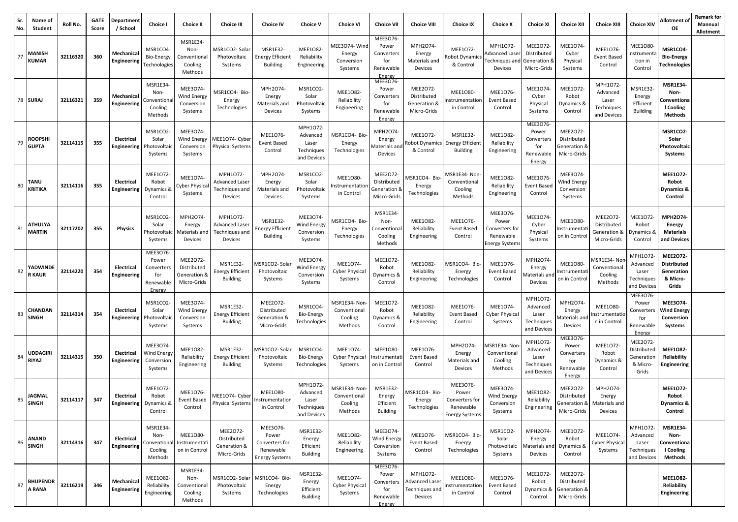| Sr.<br>No. | Name of<br>Student              | Roll No. | <b>GATE</b><br>Score | Department<br>/ School           | <b>Choice I</b>                                               | <b>Choice II</b>                                       | <b>Choice III</b>                                              | <b>Choice IV</b>                                                          | <b>Choice V</b>                                            | <b>Choice VI</b>                                          | <b>Choice VII</b>                                             | <b>Choice VIII</b>                                             | <b>Choice IX</b>                                                          | <b>Choice X</b>                                                           | <b>Choice XI</b>                                             | <b>Choice XII</b>                                             | <b>Choice XIII</b>                                         | <b>Choice XIV</b>                                            | Allotment of<br><b>OE</b>                                             | <b>Remark for</b><br>Mannual<br>Allotment |
|------------|---------------------------------|----------|----------------------|----------------------------------|---------------------------------------------------------------|--------------------------------------------------------|----------------------------------------------------------------|---------------------------------------------------------------------------|------------------------------------------------------------|-----------------------------------------------------------|---------------------------------------------------------------|----------------------------------------------------------------|---------------------------------------------------------------------------|---------------------------------------------------------------------------|--------------------------------------------------------------|---------------------------------------------------------------|------------------------------------------------------------|--------------------------------------------------------------|-----------------------------------------------------------------------|-------------------------------------------|
| 77         | <b>MANISH</b><br><b>KUMAR</b>   | 32116320 | 360                  | Mechanica<br>Engineering         | MSR1CO4-<br><b>Bio-Energy</b><br>Technologies                 | MSR1E34-<br>Non-<br>Conventional<br>Cooling<br>Methods | MSR1CO2-Sola<br>Photovoltaic<br>Systems                        | MSR1E32-<br><b>Energy Efficient</b><br><b>Building</b>                    | MEE1082-<br>Reliability<br>Engineering                     | AEE3O74-Winc<br>Energy<br>Conversion<br>Systems           | MEE3076-<br>Power<br>Converters<br>for<br>Renewable<br>Energy | MPH2O74-<br>Energy<br>Materials and<br>Devices                 | MEE1072-<br>Robot Dynamics<br>& Control                                   | MPH1072-<br>dvanced Lase<br>Fechniques and<br>Devices                     | MEE2072-<br>Distributed<br>Generation &<br>Micro-Grids       | MEE1074<br>Cyber<br>Physical<br>Systems                       | MEE1076-<br>Event Based<br>Control                         | <b>MEE1080</b><br>nstrument<br>tion in<br>Control            | MSR1CO4-<br><b>Bio-Energy</b><br><b>Fechnologies</b>                  |                                           |
|            | 78 SURAJ                        | 32116321 | 359                  | Mechanical<br><b>Engineering</b> | MSR1E34<br>Non-<br>Conventiona<br>Cooling<br>Methods          | MEE3074-<br>Wind Energy<br>Conversion<br>Systems       | MSR1CO4- Bio-<br>Energy<br>Technologies                        | MPH2O74<br>Energy<br>Materials and<br>Devices                             | MSR1CO2<br>Solar<br>Photovoltaic<br>Systems                | <b>MEE1082</b><br>Reliability<br>Engineering              | MEE3076-<br>Power<br>Converters<br>for<br>Renewable<br>Energy | MEE2072-<br>Distributed<br>Generation &<br>Micro-Grids         | MEE1080-<br>ıstrumentatior<br>in Control                                  | MEE1076<br>Event Based<br>Control                                         | MEE1074<br>Cyber<br>Physical<br>Systems                      | MEE1072-<br>Robot<br>Dynamics &<br>Control                    | MPH1072-<br>Advanced<br>Laser<br>Techniques<br>and Devices | MSR1E32<br>Energy<br>Efficient<br><b>Building</b>            | <b>MSR1E34-</b><br>Non-<br>Conventiona<br>I Cooling<br><b>Methods</b> |                                           |
| 79         | <b>ROOPSHI</b><br><b>GUPTA</b>  | 32114115 | 355                  | Electrical<br>Engineering        | MSR1CO2<br>Solar<br>Photovoltaio<br>Systems                   | MEE3074-<br>Wind Energy<br>Conversion<br>Systems       | MEE1O74- Cyber<br>Physical Systems                             | MEE1076-<br>Event Based<br>Control                                        | MPH1O72-<br>Advanced<br>Laser<br>Techniques<br>and Devices | MSR1CO4- Bio-<br>Energy<br>Technologies                   | MPH2O74-<br>Energy<br><b>Aaterials</b> and<br>Devices         | MEE1072<br>obot Dynamics<br>& Control                          | MSR1E32-<br><b>Energy Efficient</b><br><b>Building</b>                    | MEE1082-<br>Reliability<br>Engineering                                    | MEE3076<br>Power<br>Converters<br>for<br>Renewable<br>Energy | MEE2072<br>Distributed<br>6 Generation<br>Micro-Grids         |                                                            |                                                              | MSR1CO2-<br>Solar<br>Photovoltaic<br>Systems                          |                                           |
| 80         | TANU<br><b>KRITIKA</b>          | 32114116 | 355                  | Electrical<br>Engineering        | MEE1072-<br>Robot<br>Dynamics 8<br>Control                    | MEE1074-<br>Cyber Physica<br>Systems                   | MPH1072-<br><b>Advanced Laser</b><br>Techniques and<br>Devices | MPH2O74-<br>Energy<br>Materials and<br>Devices                            | MSR1CO2-<br>Solar<br>Photovoltaic<br>Systems               | <b>MEE1080-</b><br>nstrumentatior<br>in Control           | MEE2O72-<br>Distributed<br>Generation 8<br>Micro-Grids        | ASR1CO4- Bio-<br>Energy<br>Technologies                        | <b>MSR1E34- Non</b><br>Conventional<br>Cooling<br>Methods                 | MEE1082-<br>Reliability<br>Engineering                                    | MEE1076<br><b>Event Based</b><br>Control                     | MEE3074-<br>Wind Energy<br>Conversion<br>Systems              |                                                            |                                                              | MEE1072-<br>Robot<br><b>Dynamics &amp;</b><br>Control                 |                                           |
| 81         | <b>ATHULYA</b><br><b>MARTIN</b> | 32117202 | 355                  | Physics                          | MSR1CO2-<br>Solar<br>Photovoltaic<br>Systems                  | MPH2O74<br>Energy<br>Materials and<br>Devices          | MPH1072-<br>Advanced Laser<br>Techniques and<br>Devices        | MSR1E32-<br><b>Energy Efficient</b><br><b>Building</b>                    | MEE3074-<br>Wind Energy<br>Conversion<br>Systems           | MSR1CO4- Bio-<br>Energy<br>Technologies                   | MSR1E34-<br>Non-<br>Conventional<br>Cooling<br>Methods        | MEE1082<br>Reliability<br>Engineering                          | MEE1076-<br>Event Based<br>Control                                        | MEE3O76-<br>Power<br>Converters for<br>Renewable<br><b>Energy Systems</b> | MEE1074<br>Cyber<br>Physical<br>Systems                      | MEE1080-<br>Instrumenta<br>on in Contro                       | MEE2072-<br>Distributed<br>Generation &<br>Micro-Grids     | MEE1072-<br>Robot<br>Dynamics &<br>Control                   | MPH2O74-<br>Energy<br><b>Materials</b><br>and Devices                 |                                           |
| 82         | YADWINDE<br><b>R KAUR</b>       | 32114220 | 354                  | Electrical<br>Engineering        | MEE3076-<br>Power<br>Converters<br>for<br>Renewable<br>Energy | MEE2072-<br>Distributed<br>Generation &<br>Micro-Grids | MSR1E32-<br><b>Energy Efficient</b><br><b>Building</b>         | VISR1CO2- Sola<br>Photovoltaic<br>Systems                                 | MEE3074-<br><b>Wind Energy</b><br>Conversion<br>Systems    | MEE1074-<br><b>Cyber Physical</b><br>Systems              | MEE1072-<br>Robot<br>Dynamics &<br>Control                    | MEE1082-<br>Reliability<br>Engineering                         | <b>MSR1CO4- Bio-</b><br>Energy<br>Technologies                            | MEE1076-<br>Event Based<br>Control                                        | MPH2O74<br>Energy<br>Materials ar<br>Devices                 | MEE1080-<br>Instrumenta<br>on in Contro                       | MSR1E34-Nor<br>Conventional<br>Cooling<br>Methods          | MPH1O72-<br>Advanced<br>Laser<br>Techniques<br>and Devices   | MEE2072-<br><b>Distributed</b><br>Generation<br>& Micro-<br>Grids     |                                           |
| 83         | <b>CHANDAN</b><br><b>SINGH</b>  | 32114314 | 354                  | Electrical<br>Engineering        | MSR1CO2<br>Solar<br>Photovoltai<br>Systems                    | MEE3074-<br>Wind Energy<br>Conversion<br>Systems       | MSR1E32-<br><b>Energy Efficient</b><br><b>Building</b>         | MEE2O72-<br>Distributed<br>Generation &<br>Micro-Grids                    | MSR1CO4-<br>Bio-Energy<br>Technologies                     | MSR1E34- Non<br>Conventional<br>Cooling<br>Methods        | MEE1072<br>Robot<br>Dynamics &<br>Control                     | MEE1082-<br>Reliability<br>Engineering                         | MEE1076-<br><b>Event Based</b><br>Control                                 | MEE1074-<br><b>Cyber Physical</b><br>Systems                              | MPH1072-<br>Advanced<br>Laser<br>Techniques<br>and Devices   | MPH2O74-<br>Energy<br>Aaterials an<br>Devices                 | <b>MEE1080-</b><br>nstrumentatio<br>n in Control           | MEE3076-<br>Power<br>Converter<br>for<br>Renewable<br>Energy | MEE3074-<br><b>Wind Energy</b><br>Conversion<br>Systems               |                                           |
| 84         | <b>UDDAGIR</b><br><b>RIYAZ</b>  | 32114315 | 350                  | Electrical<br>Engineering        | MEE3074<br><b>Wind Energy</b><br>Conversion<br>Systems        | MEE1082-<br>Reliability<br>Engineering                 | <b>MSR1E32-</b><br><b>Energy Efficient</b><br><b>Building</b>  | MSR1CO2- Sola<br>Photovoltaic<br>Systems                                  | MSR1CO4-<br>Bio-Energy<br>Technologies                     | MEE1074-<br><b>Cyber Physical</b><br>Systems              | <b>MEE1080</b><br>nstrumentat<br>on in Control                | MEE1076-<br>Event Based<br>Control                             | MPH2O74-<br>Energy<br>Materials and<br>Devices                            | ASR1E34- Non<br>Conventional<br>Cooling<br>Methods                        | MPH1072<br>Advanced<br>Laser<br>Techniques<br>and Devices    | MEE3076-<br>Power<br>Converters<br>for<br>Renewable<br>Energy | MEE1072-<br>Robot<br>Dynamics &<br>Control                 | MEE2O72-<br>Distributed<br>Generatior<br>& Micro-<br>Grids   | <b>MEE1082-</b><br>Reliability<br><b>Engineering</b>                  |                                           |
| 85         | JAGMAI<br><b>SINGH</b>          | 32114117 | 347                  | Electrical<br>Engineering        | MEE1072<br>Robot<br>Dynamics &<br>Control                     | MEE1076-<br>Event Based<br>Control                     | MEE1074- Cyber<br><b>Physical Systems</b>                      | MEE1080-<br>Instrumentation<br>in Control                                 | MPH1072-<br>Advanced<br>Laser<br>Techniques<br>and Devices | <b>MSR1E34- Non</b><br>Conventional<br>Cooling<br>Methods | MSR1E32<br>Energy<br>Efficient<br><b>Building</b>             | MSR1CO4- Bio-<br>Energy<br>Technologies                        | MEE3076-<br>Power<br>Converters for<br>Renewable<br><b>Energy Systems</b> | MEE3074<br>Wind Energy<br>Conversion<br>Systems                           | <b>MEE1082</b><br>Reliability<br>Engineering                 | MEE2O72-<br>Distributed<br>Generation &<br>Micro-Grids        | MPH2O74-<br>Energy<br>Materials and<br>Devices             |                                                              | MEE1072-<br>Robot<br>Dynamics &<br>Control                            |                                           |
| 86         | <b>ANAND</b><br><b>SINGH</b>    | 32114316 | 347                  | Electrical<br><b>Engineering</b> | MSR1E34-<br>Non-<br>Conventiona<br>Cooling<br>Methods         | MEE1080-<br>Instrumentati<br>on in Control             | MEE2072-<br>Distributed<br>Generation &<br>Micro-Grids         | MEE3076-<br>Power<br>Converters for<br>Renewable<br><b>Energy Systems</b> | MSR1E32-<br>Energy<br>Efficient<br>Building                | MEE1082-<br>Reliability<br>Engineering                    | MEE3074<br><b>Wind Energy</b><br>Conversion<br>Systems        | MEE1076-<br>Event Based<br>Control                             | MSR1CO4- Bio-<br>Energy<br>Technologies                                   | MSR1CO2-<br>Solar<br>Photovoltaic<br>Systems                              | MPH2O74<br>Energy<br>Materials an<br>Devices                 | MEE1072-<br>Robot<br>Dynamics &<br>Control                    | MEE1074-<br><b>Cyber Physical</b><br>Systems               | MPH1O72-<br>Advanced<br>Laser<br>Techniques<br>and Devices   | <b>MSR1E34-</b><br>Non-<br>Conventiona<br>I Cooling<br>Methods        |                                           |
| 87         | <b>BHUPENDR</b><br>A RANA       | 32116219 | 346                  | Mechanical<br>Engineering        | MEE1082-<br>Reliability<br>Engineering                        | MSR1E34-<br>Non-<br>Conventional<br>Cooling<br>Methods | MSR1CO2-Solar<br>Photovoltaic<br>Systems                       | MSR1CO4- Bio-<br>Energy<br>Technologies                                   | MSR1E32-<br>Energy<br>Efficient<br><b>Building</b>         | MEE1074-<br><b>Cyber Physical</b><br>Systems              | MEE3076-<br>Power<br>Converters<br>for<br>Renewable<br>Energy | MPH1O72-<br><b>Advanced Laser</b><br>Techniques and<br>Devices | <b>MEE1080-</b><br>nstrumentatior<br>in Control                           | MEE1076<br><b>Event Based</b><br>Control                                  | MEE1072-<br>Robot<br>Dynamics &<br>Control                   | MEE2O72-<br>Distributed<br>Generation &<br>Micro-Grids        |                                                            |                                                              | <b>MEE1082-</b><br>Reliability<br>Engineering                         |                                           |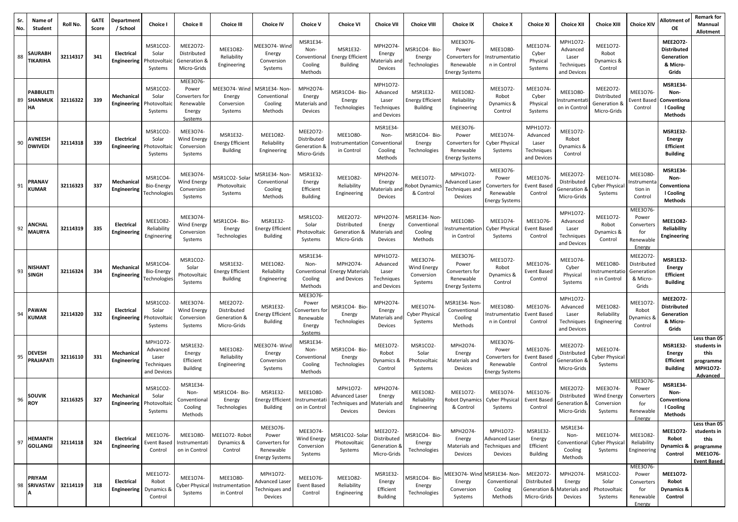| Sr.<br>No. | Name of<br>Student                       | Roll No. | <b>GATE</b><br>Score | <b>Departmen</b><br>/ School           | Choice I                                                   | <b>Choice II</b>                                                      | <b>Choice III</b>                                             | <b>Choice IV</b>                                                          | <b>Choice V</b>                                                       | <b>Choice VI</b>                                        | <b>Choice VII</b>                                          | <b>Choice VIII</b>                                    | <b>Choice IX</b>                                                          | <b>Choice X</b>                                                    | <b>Choice XI</b>                                           | <b>Choice XII</b>                                          | <b>Choice XIII</b>                                     | <b>Choice XIV</b>                                             | Allotment of<br>ОE                                                      | Remark for<br>Mannual<br>Allotment                                                 |
|------------|------------------------------------------|----------|----------------------|----------------------------------------|------------------------------------------------------------|-----------------------------------------------------------------------|---------------------------------------------------------------|---------------------------------------------------------------------------|-----------------------------------------------------------------------|---------------------------------------------------------|------------------------------------------------------------|-------------------------------------------------------|---------------------------------------------------------------------------|--------------------------------------------------------------------|------------------------------------------------------------|------------------------------------------------------------|--------------------------------------------------------|---------------------------------------------------------------|-------------------------------------------------------------------------|------------------------------------------------------------------------------------|
| 88         | <b>SAURABH</b><br><b>TIKARIHA</b>        | 32114317 | 341                  | Electrical<br><b>Engineering</b>       | MSR1CO2<br>Solar<br>Photovolta<br>Systems                  | MEE2O72-<br>Distributed<br>Generation 8<br>Micro-Grids                | MEE1082-<br>Reliability<br>Engineering                        | MEE3O74-Wind<br>Energy<br>Conversion<br>Systems                           | MSR1E34-<br>Non-<br>Conventional<br>Cooling<br>Methods                | MSR1E32-<br><b>Energy Efficient</b><br><b>Building</b>  | MPH2O74<br>Energy<br>Materials anc<br>Devices              | MSR1CO4- Bio-<br>Energy<br>Technologies               | MEE3076-<br>Power<br>Converters for<br>Renewable<br><b>Energy Systems</b> | MEE1080-<br>nstrumentatio<br>n in Control                          | MEE1074<br>Cyber<br>Physical<br>Systems                    | MPH1O72-<br>Advanced<br>Laser<br>Techniques<br>and Devices | MEE1072-<br>Robot<br>Dynamics &<br>Control             |                                                               | MEE2072-<br><b>Distributed</b><br>Generation<br>& Micro-<br>Grids       |                                                                                    |
| 89         | <b>PABBULETI</b><br><b>SHANMUK</b><br>НA | 32116322 | 339                  | Mechanical<br>Engineering              | MSR1CO2<br>Solar<br>Photovoltai<br>Systems                 | MEE3O76-<br>Power<br>Converters for<br>Renewable<br>Energy<br>Systems | MEE3O74-Wind<br>Energy<br>Conversion<br>Systems               | ASR1E34- Non<br>Conventional<br>Cooling<br>Methods                        | MPH2O74-<br>Energy<br>Materials and<br>Devices                        | <b>MSR1CO4-Bio</b><br>Energy<br>Technologies            | MPH1072-<br>Advanced<br>Laser<br>Techniques<br>and Devices | MSR1E32<br><b>Energy Efficient</b><br><b>Building</b> | MEE1082-<br>Reliability<br>Engineering                                    | MEE1072<br>Robot<br>Dynamics &<br>Control                          | MEE1074<br>Cyber<br>Physical<br>Systems                    | MEE1080-<br>nstrumentai<br>on in Control                   | MEE2O72-<br>Distributed<br>Generation &<br>Micro-Grids | MEE1076-<br>vent Baser<br>Control                             | <b>MSR1E34-</b><br>Non-<br>Conventiona<br>I Cooling<br>Methods          |                                                                                    |
| 90         | <b>AVNEESH</b><br><b>DWIVEDI</b>         | 32114318 | 339                  | <b>Electrical</b><br>Engineering       | MSR1CO2<br>Solar<br>Photovoltai<br>Systems                 | MEE3074-<br>Wind Energy<br>Conversion<br>Systems                      | MSR1E32-<br><b>Energy Efficient</b><br><b>Building</b>        | MEE1082-<br>Reliability<br>Engineering                                    | MEE2072-<br>Distributed<br>Generation &<br>Micro-Grids                | MEE1080-<br>ıstrumentatior<br>in Control                | MSR1E34-<br>Non-<br>Conventional<br>Cooling<br>Methods     | MSR1CO4- Bio-<br>Energy<br>Technologies               | MEE3076-<br>Power<br>Converters for<br>Renewable<br><b>Energy Systems</b> | MEE1074<br><b>Cyber Physical</b><br>Systems                        | MPH1072-<br>Advanced<br>Laser<br>Techniques<br>and Devices | MEE1072-<br>Robot<br>Dynamics &<br>Control                 |                                                        |                                                               | <b>MSR1E32-</b><br>Energy<br><b>Efficient</b><br><b>Building</b>        |                                                                                    |
| 91         | PRANAV<br><b>KUMAR</b>                   | 32116323 | 337                  | Mechanical<br>Engineering              | MSR1CO4<br>Bio-Energy<br>Technologies                      | MEE3074-<br>Wind Energy<br>Conversion<br>Systems                      | MSR1CO2- Solar<br>Photovoltaic<br>Systems                     | <b>MSR1E34- Non</b><br>Conventional<br>Cooling<br>Methods                 | <b>MSR1E32-</b><br>Energy<br>Efficient<br><b>Building</b>             | MEE1082-<br>Reliability<br>Engineering                  | MPH2O74-<br>Energy<br>Aaterials and<br>Devices             | MEE1072<br>obot Dynamic:<br>& Control                 | MPH1072-<br>Advanced Laseı<br>Techniques anc<br>Devices                   | MEE3076-<br>Power<br>Converters for<br>Renewable<br>Energy System: | MEE1076<br>Event Base<br>Control                           | MEE2O72-<br>Distributed<br>Generation 8<br>Micro-Grids     | MEE1074-<br>Cyber Physica<br>Systems                   | <b>MEE1080</b><br>nstrument<br>tion in<br>Control             | <b>MSR1E34-</b><br>Non-<br>Conventiona<br>I Cooling<br>Methods          |                                                                                    |
|            | <b>ANCHAL</b><br>$92$ MAURYA             | 32114319 | 335                  | <b>Electrical</b><br>Engineering       | <b>MEE1082</b><br>Reliability<br>Engineering               | MEE3074-<br>Wind Energy<br>Conversion<br>Systems                      | MSR1CO4- Bio-<br>Energy<br>Technologies                       | MSR1E32-<br><b>Energy Efficient</b><br><b>Building</b>                    | MSR1CO2-<br>Solar<br>Photovoltaic<br>Systems                          | MEE2O72-<br>Distributed<br>Generation &<br>Micro-Grids  | MPH2O74-<br>Energy<br>Aaterials and<br>Devices             | /ISR1E34- Non-<br>Conventional<br>Cooling<br>Methods  | MEE1080-<br>nstrumentatior<br>in Control                                  | MEE1074<br><b>Cyber Physical</b><br>Systems                        | MEE1076-<br>Event Based<br>Control                         | MPH1O72-<br>Advanced<br>Laser<br>Techniques<br>and Devices | MEE1072-<br>Robot<br>Dynamics &<br>Control             | MEE3076-<br>Power<br>Converters<br>for<br>Renewable<br>Energy | MEE1082-<br>Reliability<br><b>Engineering</b>                           |                                                                                    |
| 93         | <b>NISHANT</b><br><b>SINGH</b>           | 32116324 | 334                  | Mechanica<br>Engineering               | MSR1CO4<br>Bio-Energy<br>Technologies                      | MSR1CO2-<br>Solar<br>Photovoltaic<br>Systems                          | <b>MSR1E32-</b><br><b>Energy Efficient</b><br><b>Building</b> | MEE1082-<br>Reliability<br>Engineering                                    | MSR1E34-<br>Non-<br>Conventional<br>Cooling<br>Methods                | MPH2O74-<br>nergy Materials:<br>and Devices             | MPH1072-<br>Advanced<br>Laser<br>Techniques<br>and Devices | MEE3074-<br>Wind Energy<br>Conversion<br>Systems      | MEE3076-<br>Power<br>Converters for<br>Renewable<br>Energy Systems        | MEE1072-<br>Robot<br>Dynamics &<br>Control                         | MEE1076-<br>Event Basec<br>Control                         | MEE1074-<br>Cyber<br>Physical<br>Systems                   | <b>MEE1O80-</b><br>nstrumentatio<br>n in Control       | MEE2072-<br>Distributed<br>Generation<br>& Micro-<br>Grids    | <b>MSR1E32-</b><br>Energy<br><b>Efficient</b><br><b>Building</b>        |                                                                                    |
| 94         | <b>PAWAN</b><br><b>KUMAR</b>             | 32114320 | 332                  | Electrical<br>Engineering              | MSR1CO2<br>Solar<br>Photovoltai<br>Systems                 | MEE3074-<br>Wind Energy<br>Conversion<br>Systems                      | MEE2072-<br>Distributed<br>Generation &<br>Micro-Grids        | MSR1E32-<br><b>Energy Efficient</b><br><b>Building</b>                    | MEE3076-<br>Power<br>Converters for<br>Renewable<br>Energy<br>Systems | MSR1CO4- Bio-<br>Energy<br>Technologies                 | MPH2O74-<br>Energy<br>Aaterials and<br>Devices             | MEE1074<br><b>Cyber Physical</b><br>Systems           | MSR1E34- Non<br>Conventional<br>Cooling<br>Methods                        | <b>MEE1080</b><br>nstrumentatio<br>n in Control                    | MEE1076<br><b>Event Basec</b><br>Control                   | MPH1O72-<br>Advanced<br>Laser<br>Techniques<br>and Devices | MEE1082-<br>Reliability<br>Engineering                 | MEE1072-<br>Robot<br>6 Dynamics<br>Control                    | MEE2072-<br><b>Distributed</b><br>Generation<br>& Micro-<br>Grids       |                                                                                    |
| 95         | <b>DEVESH</b><br><b>PRAJAPATI</b>        | 32116110 | 331                  | Mechanical<br>Engineering              | MPH1O72-<br>Advanced<br>Laser<br>Techniques<br>and Devices | MSR1E32-<br>Energy<br>Efficient<br><b>Building</b>                    | MEE1082-<br>Reliability<br>Engineering                        | MEE3O74-Wind<br>Energy<br>Conversion<br>Systems                           | MSR1E34<br>Non-<br>Conventional<br>Cooling<br>Methods                 | MSR1CO4- Bio-<br>Energy<br>Technologies                 | MEE1072<br>Robot<br>Dynamics &<br>Control                  | MSR1CO2-<br>Solar<br>Photovoltaic<br>Systems          | MPH2O74-<br>Energy<br>Materials and<br>Devices                            | MEE3076-<br>Power<br>Converters for<br>Renewable<br>Energy System  | MEE1076<br>Event Base<br>Control                           | MEE2O72-<br>Distributed<br>Generation 8<br>Micro-Grids     | MEE1074-<br>Cyber Physica<br>Systems                   |                                                               | <b>MSR1E32-</b><br><b>Energy</b><br><b>Efficient</b><br><b>Building</b> | Less than 05<br>students in<br>this<br>programme<br>MPH1O72-<br><b>Advanced</b>    |
| 96         | <b>SOUVIK</b><br><b>ROY</b>              | 32116325 | 327                  | Mechanical<br>Engineering Photovoltaic | MSR1CO2<br>Solar<br>Systems                                | MSR1E34-<br>Non-<br>Conventional<br>Cooling<br>Methods                | MSR1CO4- Bio-<br>Energy<br>Technologies                       | MSR1E32-<br>Energy Efficient Instrumentati<br><b>Building</b>             | <b>MEE1080-</b><br>on in Control                                      | MPH1072-<br>Advanced Laser<br>Techniques and<br>Devices | MPH2O74<br>Energy<br>Materials and<br>Devices              | MEE1082-<br>Reliability<br>Engineering                | MEE1072-<br>Robot Dynamics Cyber Physical<br>& Control                    | MEE1074<br>Systems                                                 | MEE1076-<br><b>Event Based</b><br>Control                  | MEE2O72-<br>Distributed<br>Generation &<br>Micro-Grids     | MEE3074-<br>Wind Energy<br>Conversion<br>Systems       | MEE3076<br>Power<br>Converters<br>for<br>Renewable<br>Energy  | MSR1E34-<br>Non-<br>Conventiona<br>I Cooling<br><b>Methods</b>          |                                                                                    |
| 97         | <b>HEMANTH</b><br><b>GOLLANGI</b>        | 32114118 | 324                  | Electrical<br><b>Engineering</b>       | MEE1076<br><b>Event Based</b><br>Control                   | MEE1080-<br>Instrumentati<br>on in Control                            | MEE1O72- Robot<br>Dynamics &<br>Control                       | MEE3076-<br>Power<br>Converters for<br>Renewable<br><b>Energy Systems</b> | MEE3O74-<br>Wind Energy<br>Conversion<br>Systems                      | <b>MSR1CO2-Solar</b><br>Photovoltaic<br>Systems         | MEE2O72-<br>Distributed<br>Generation &<br>Micro-Grids     | MSR1CO4- Bio-<br>Energy<br>Technologies               | MPH2O74-<br>Energy<br>Materials and<br>Devices                            | MPH1072-<br>Advanced Laser<br>Techniques and<br>Devices            | MSR1E32<br>Energy<br>Efficient<br><b>Building</b>          | MSR1E34-<br>Non-<br>Conventional<br>Cooling<br>Methods     | MEE1074-<br><b>Cyber Physical</b><br>Systems           | MEE1082-<br>Reliability<br>Engineering                        | MEE1072-<br>Robot<br><b>Dynamics &amp;</b><br>Control                   | Less than 05<br>students in<br>this<br>programme<br>MEE1076-<br><b>Event Based</b> |
|            | <b>PRIYAM</b><br>98 SRIVASTAV 32114119   |          | 318                  | Electrical<br><b>Engineering</b>       | MEE1072-<br>Robot<br>Dynamics &<br>Control                 | MEE1074-<br><b>Cyber Physical</b><br>Systems                          | MEE1080-<br>Instrumentation<br>in Control                     | MPH1072-<br>Advanced Laser<br>Techniques and<br>Devices                   | MEE1076-<br>Event Based<br>Control                                    | MEE1082-<br>Reliability<br>Engineering                  | MSR1E32-<br>Energy<br>Efficient<br><b>Building</b>         | MSR1CO4- Bio-<br>Energy<br>Technologies               | MEE3O74- Wind MSR1E34- Non<br>Energy<br>Conversion<br>Systems             | Conventional<br>Cooling<br>Methods                                 | MEE2O72-<br>Distributed<br>Generation &<br>Micro-Grids     | MPH2O74-<br>Energy<br>Materials and<br>Devices             | MSR1CO2-<br>Solar<br>Photovoltaic<br>Systems           | MEE3076-<br>Power<br>Converters<br>for<br>Renewable<br>Energy | MEE1072-<br>Robot<br>Dynamics &<br>Control                              |                                                                                    |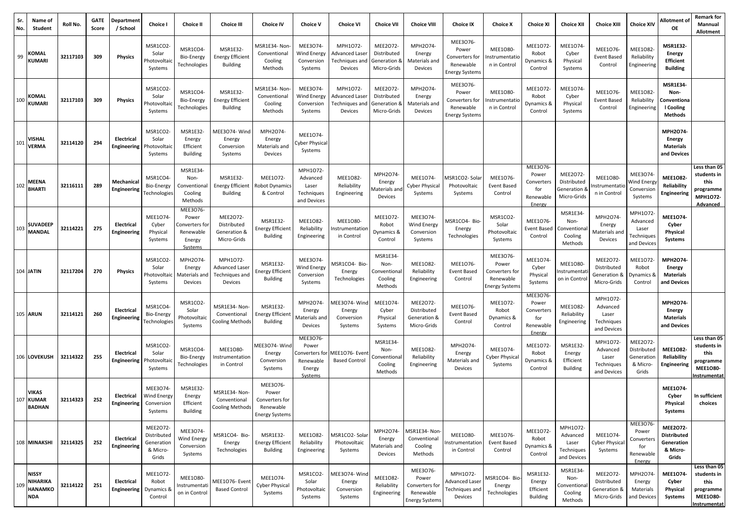| Sr.<br>No. | Name of<br>Student                                       | Roll No. | <b>GATE</b><br>Score | Department<br>/ School                  | <b>Choice I</b>                                            | <b>Choice II</b>                                                     | <b>Choice III</b>                                              | <b>Choice IV</b>                                                          | <b>Choice V</b>                                                       | <b>Choice VI</b>                                        | <b>Choice VII</b>                                            | <b>Choice VIII</b>                                                        | <b>Choice IX</b>                                                          | <b>Choice X</b>                                                    | <b>Choice XI</b>                                              | <b>Choice XII</b>                                          | <b>Choice XIII</b>                                         | <b>Choice XIV</b>                                            | Allotment of<br>ОE                                                      | Remark for<br>Mannual<br>Allotment                                                 |
|------------|----------------------------------------------------------|----------|----------------------|-----------------------------------------|------------------------------------------------------------|----------------------------------------------------------------------|----------------------------------------------------------------|---------------------------------------------------------------------------|-----------------------------------------------------------------------|---------------------------------------------------------|--------------------------------------------------------------|---------------------------------------------------------------------------|---------------------------------------------------------------------------|--------------------------------------------------------------------|---------------------------------------------------------------|------------------------------------------------------------|------------------------------------------------------------|--------------------------------------------------------------|-------------------------------------------------------------------------|------------------------------------------------------------------------------------|
| 99         | KOMAL<br><b>KUMARI</b>                                   | 32117103 | 309                  | <b>Physics</b>                          | MSR1CO2<br>Solar<br>Photovoltai<br>Systems                 | MSR1CO4-<br>Bio-Energy<br>Technologies                               | <b>MSR1E32-</b><br><b>Energy Efficient</b><br><b>Building</b>  | MSR1E34- Non<br>Conventional<br>Cooling<br>Methods                        | MEE3074-<br><b>Wind Energy</b><br>Conversion<br>Systems               | MPH1072-<br>Advanced Laser<br>Techniques and<br>Devices | MEE2O72-<br>Distributed<br>Generation &<br>Micro-Grids       | MPH2O74-<br>Energy<br>Materials and<br>Devices                            | MEE3076-<br>Power<br>Converters for<br>Renewable<br><b>Energy System:</b> | MEE1080-<br>nstrumentatio<br>n in Control                          | MEE1072<br>Robot<br>Dynamics &<br>Control                     | MEE1074-<br>Cyber<br>Physical<br>Systems                   | MEE1076-<br>Event Based<br>Control                         | MEE1082-<br>Reliability<br>Engineering                       | <b>MSR1E32-</b><br><b>Energy</b><br><b>Efficient</b><br><b>Building</b> |                                                                                    |
| 100        | <b>KOMAL</b><br><b>KUMARI</b>                            | 32117103 | 309                  | <b>Physics</b>                          | MSR1CO2<br>Solar<br>Photovoltai<br>Systems                 | MSR1CO4-<br>Bio-Energy<br>Technologies                               | MSR1E32<br><b>Energy Efficient</b><br><b>Building</b>          | MSR1E34- Non<br>Conventional<br>Cooling<br>Methods                        | MEE3074-<br>Wind Energy<br>Conversion<br>Systems                      | MPH1072-<br>Advanced Lase<br>Techniques and<br>Devices  | <b>MEE2072</b><br>Distributed<br>Generation &<br>Micro-Grids | MPH2O74<br>Energy<br>Materials and<br>Devices                             | MEE3076-<br>Power<br>Converters for<br>Renewable<br>Energy Systems        | MEE1080-<br>Instrumentatio<br>n in Control                         | MEE1072<br>Robot<br>Dynamics &<br>Control                     | MEE1074<br>Cyber<br>Physical<br>Systems                    | MEE1076-<br>Event Based<br>Control                         | <b>MEE1082</b><br>Reliability<br>Engineering                 | <b>MSR1E34-</b><br>Non-<br>Conventiona<br>I Cooling<br><b>Methods</b>   |                                                                                    |
| 101        | <b>VISHAL</b><br><b>VERMA</b>                            | 32114120 | 294                  | <b>Electrical</b><br><b>Engineering</b> | MSR1CO2<br>Solar<br>Photovoltaio<br>Systems                | MSR1E32-<br>Energy<br>Efficient<br><b>Building</b>                   | MEE3O74-Wind<br>Energy<br>Conversion<br>Systems                | MPH2O74-<br>Energy<br>Materials and<br>Devices                            | MEE1074-<br>yber Physical<br>Systems                                  |                                                         |                                                              |                                                                           |                                                                           |                                                                    |                                                               |                                                            |                                                            |                                                              | MPH2O74-<br>Energy<br><b>Materials</b><br>and Devices                   |                                                                                    |
| 102        | <b>MEENA</b><br><b>BHARTI</b>                            | 32116111 | 289                  | Mechanica<br>Engineering                | MSR1CO4<br>Bio-Energy<br>Technologies                      | MSR1E34-<br>Non-<br>Conventional<br>Cooling<br>Methods               | MSR1E32<br><b>Energy Efficient</b><br><b>Building</b>          | MEE1072-<br><b>Robot Dynamics</b><br>& Control                            | MPH1072-<br>Advanced<br>Laser<br>Techniques<br>and Devices            | MEE1082-<br>Reliability<br>Engineering                  | MPH2O74-<br>Energy<br>Aaterials and<br>Devices               | MEE1074-<br>Cyber Physical<br>Systems                                     | MSR1CO2- Sola<br>Photovoltaic<br>Systems                                  | MEE1076<br><b>Event Based</b><br>Control                           | MEE3076<br>Power<br>Converters<br>for<br>Renewable<br>Energy  | MEE2O72-<br>Distributed<br>Generation 8<br>Micro-Grids     | MEE1080-<br>nstrumentati<br>n in Control                   | MEE3074-<br>Wind Energy<br>Conversion<br>Systems             | MEE1082-<br>Reliability<br>Engineering                                  | Less than 05<br>students in<br>this<br>programme<br>MPH1O72-<br>Advanced           |
| 103        | <b>SUVADEEP</b><br><b>MANDAL</b>                         | 32114221 | 275                  | Electrical<br>Engineering               | MEE1074<br>Cyber<br>Physical<br>Systems                    | MEE3076-<br>Power<br>Converters fo<br>Renewable<br>Energy<br>Systems | MEE2072-<br>Distributed<br>Generation &<br>Micro-Grids         | <b>MSR1E32-</b><br><b>Energy Efficient</b><br><b>Building</b>             | MEE1082-<br>Reliability<br>Engineering                                | MEE1080-<br>าstrumentatioเ<br>in Control                | MEE1072<br>Robot<br>Dynamics &<br>Control                    | MEE3074-<br><b>Wind Energy</b><br>Conversion<br>Systems                   | MSR1CO4- Bio-<br>Energy<br>Technologies                                   | MSR1CO2-<br>Solar<br>Photovoltaic<br>Systems                       | MEE1076<br><b>Event Based</b><br>Control                      | MSR1E34<br>Non-<br>Conventiona<br>Cooling<br>Methods       | MPH2O74-<br>Energy<br>Materials and<br>Devices             | MPH1O72<br>Advanced<br>Laser<br>Techniques<br>and Devices    | MEE1074-<br>Cyber<br>Physical<br>Systems                                |                                                                                    |
|            | 104 JATIN                                                | 32117204 | 270                  | <b>Physics</b>                          | MSR1CO2<br>Solar<br>Photovoltaic<br>Systems                | MPH2O74<br>Energy<br>Materials and<br>Devices                        | MPH1072-<br><b>Advanced Laser</b><br>Techniques and<br>Devices | <b>MSR1E32-</b><br>Energy Efficient<br><b>Building</b>                    | MEE3074-<br>Wind Energy<br>Conversion<br>Systems                      | MSR1CO4- Bio-<br>Energy<br>Technologies                 | MSR1E34<br>Non-<br>Conventional<br>Cooling<br>Methods        | MEE1082-<br>Reliability<br>Engineering                                    | MEE1076-<br>Event Based<br>Control                                        | MEE3076-<br>Power<br>Converters for<br>Renewable<br>Energy System: | MEE1074<br>Cyber<br>Physical<br>Systems                       | MEE1080-<br>nstrumentat<br>on in Control                   | MEE2O72-<br>Distributed<br>Generation &<br>Micro-Grids     | MEE1072-<br>Robot<br>8 Dynamics<br>Control                   | MPH2O74-<br>Energy<br><b>Materials</b><br>and Devices                   |                                                                                    |
|            | <b>105 ARUN</b>                                          | 32114121 | 260                  | Electrical<br>Engineering               | MSR1CO4<br>Bio-Energy<br><b>Technologies</b>               | MSR1CO2-<br>Solar<br>Photovoltaic<br>Systems                         | MSR1E34- Non-<br>Conventional<br>Cooling Methods               | MSR1E32-<br>Energy Efficien <sup>.</sup><br><b>Building</b>               | MPH2O74-<br>Energy<br>Materials and<br>Devices                        | MEE3O74-Winc<br>Energy<br>Conversion<br>Systems         | MEE1074<br>Cyber<br>Physical<br>Systems                      | MEE2072-<br>Distributed<br>Generation &<br>Micro-Grids                    | MEE1076-<br>Event Based<br>Control                                        | MEE1072-<br>Robot<br>Dynamics &<br>Control                         | MEE3076-<br>Power<br>Converters<br>for<br>Renewable<br>Energy | MEE1082-<br>Reliability<br>Engineering                     | MPH1072-<br>Advanced<br>Laser<br>Techniques<br>and Devices |                                                              | MPH2O74-<br>Energy<br><b>Materials</b><br>and Devices                   |                                                                                    |
|            | 106 LOVEKUSH                                             | 32114322 | 255                  | <b>Electrical</b><br>Engineering        | MSR1CO2<br>Solar<br>Photovoltai<br>Systems                 | MSR1CO4<br>Bio-Energy<br>Technologies                                | MEE1080-<br>Instrumentation<br>in Control                      | MEE3O74-Wind<br>Energy<br>Conversion<br>Systems                           | MEE3076-<br>Power<br>Converters for<br>Renewable<br>Energy<br>Systems | MEE1O76- Even<br><b>Based Control</b>                   | MSR1E34<br>Non-<br>Conventiona<br>Cooling<br>Methods         | MEE1082-<br>Reliability<br>Engineering                                    | MPH2O74-<br>Energy<br>Materials and<br>Devices                            | MEE1074<br><b>Cyber Physica</b><br>Systems                         | MEE1072<br>Robot<br>Dynamics &<br>Control                     | MSR1E32-<br>Energy<br>Efficient<br>Building                | MPH1O72-<br>Advanced<br>Laser<br>Techniques<br>and Devices | MEE2072-<br>Distributed<br>Generation<br>& Micro-<br>Grids   | MEE1082-<br>Reliability<br><b>Engineering</b>                           | Less than 05<br>students in<br>this<br>orogramme<br>MEE1080-<br><b>nstrumentat</b> |
|            | VIKAS<br>107 KUMAR<br><b>BADHAN</b>                      | 32114323 | 252                  | Electrical<br>Engineering               | <b>MEE3074</b><br>Wind Energy<br>Conversion<br>Systems     | MSR1E32-<br>Energy<br>Efficient<br><b>Building</b>                   | MSR1E34- Non-<br>Conventional<br>Cooling Methods               | MEE3076-<br>Power<br>Converters for<br>Renewable<br><b>Energy Systems</b> |                                                                       |                                                         |                                                              |                                                                           |                                                                           |                                                                    |                                                               |                                                            |                                                            |                                                              | MEE1074-<br>Cyber<br>Physical<br><b>Systems</b>                         | In sufficient<br>choices                                                           |
|            | 108 MINAKSHI                                             | 32114325 | 252                  | <b>Electrical</b><br>Engineering        | MEE2072-<br>Distributed<br>Generation<br>& Micro-<br>Grids | MEE3074-<br>Wind Energy<br>Conversion<br>Systems                     | MSR1CO4- Bio-<br>Energy<br>Technologies                        | MSR1E32-<br><b>Energy Efficient</b><br>Building                           | MEE1082-<br>Reliability<br>Engineering                                | MSR1CO2-Solar<br>Photovoltaic<br>Systems                | MPH2O74-<br>Energy<br>Materials and<br>Devices               | MSR1E34- Non-<br>Conventional<br>Cooling<br>Methods                       | MEE1080-<br>nstrumentation<br>in Control                                  | MEE1076-<br><b>Event Based</b><br>Control                          | <b>MEE1072</b><br>Robot<br>Dynamics &<br>Control              | MPH1O72-<br>Advanced<br>Laser<br>Techniques<br>and Devices | MEE1074-<br><b>Cyber Physical</b><br>Systems               | MEE3076<br>Power<br>Converters<br>for<br>Renewable<br>Energy | MEE2072-<br><b>Distributed</b><br>Generation<br>& Micro-<br>Grids       |                                                                                    |
| 109        | <b>NISSY</b><br>NIHARIKA<br><b>HANAMKO</b><br><b>NDA</b> | 32114122 | 251                  | Electrical<br><b>Engineering</b>        | MEE1072-<br>Robot<br>Dynamics 8<br>Control                 | MEE1080-<br>Instrumentati<br>on in Control                           | MEE1076- Event<br><b>Based Control</b>                         | MEE1074-<br><b>Cyber Physical</b><br>Systems                              | MSR1CO2-<br>Solar<br>Photovoltaic<br>Systems                          | MEE3O74-Wind<br>Energy<br>Conversion<br>Systems         | MEE1082-<br>Reliability<br>Engineering                       | MEE3076-<br>Power<br>Converters for<br>Renewable<br><b>Energy Systems</b> | MPH1O72-<br>Advanced Laser<br>Fechniques and<br>Devices                   | MSR1CO4- Bio<br>Energy<br>Technologies                             | MSR1E32<br>Energy<br>Efficient<br><b>Building</b>             | MSR1E34-<br>Non-<br>Conventiona<br>Cooling<br>Methods      | MEE2O72-<br>Distributed<br>Generation &<br>Micro-Grids     | MPH2O74-<br>Energy<br>Materials<br>and Devices               | MEE1074-<br>Cyber<br>Physical<br>Systems                                | Less than 05<br>students in<br>this<br>programme<br>MEE1080-<br>Instrumentat       |